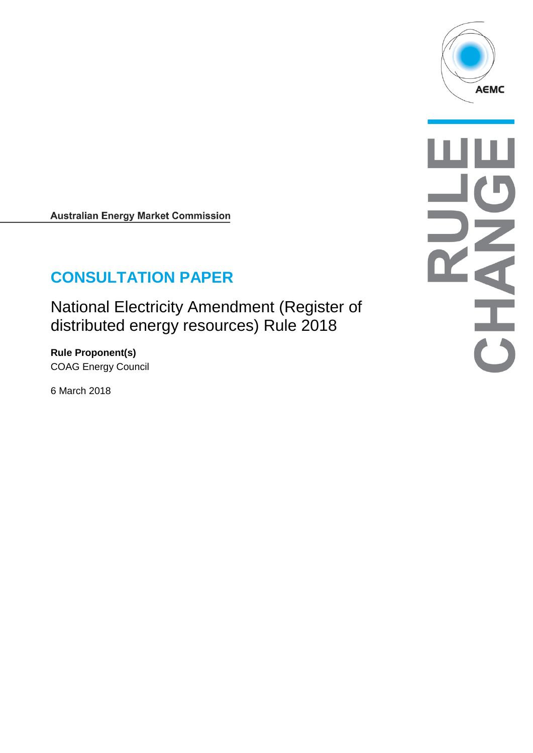

**Australian Energy Market Commission** 

# **CONSULTATION PAPER**

National Electricity Amendment (Register of distributed energy resources) Rule 2018

**Rule Proponent(s)** COAG Energy Council

6 March 2018

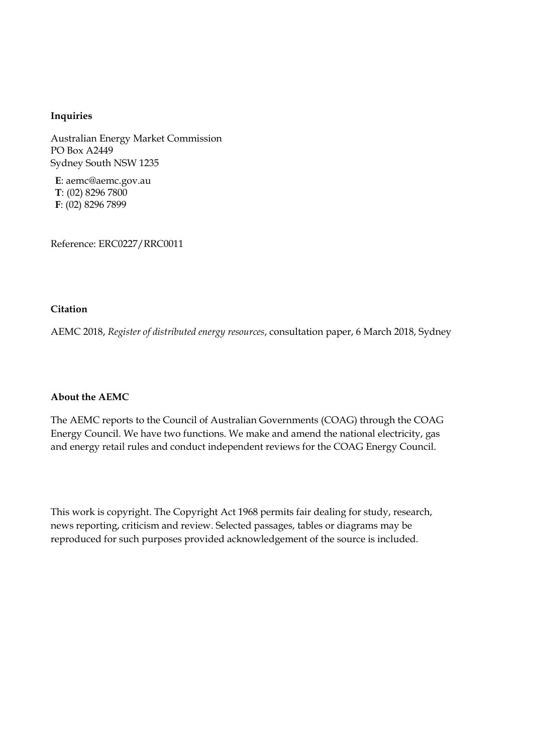#### **Inquiries**

Australian Energy Market Commission PO Box A2449 Sydney South NSW 1235

**E**: aemc@aemc.gov.au **T**: (02) 8296 7800 **F**: (02) 8296 7899

Reference: ERC0227/RRC0011

#### **Citation**

AEMC 2018, *Register of distributed energy resources*, consultation paper, 6 March 2018, Sydney

#### **About the AEMC**

The AEMC reports to the Council of Australian Governments (COAG) through the COAG Energy Council. We have two functions. We make and amend the national electricity, gas and energy retail rules and conduct independent reviews for the COAG Energy Council.

This work is copyright. The Copyright Act 1968 permits fair dealing for study, research, news reporting, criticism and review. Selected passages, tables or diagrams may be reproduced for such purposes provided acknowledgement of the source is included.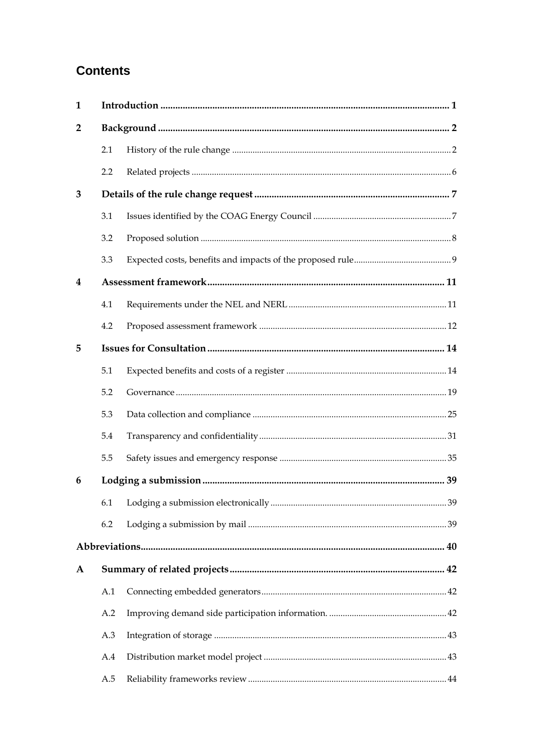# **Contents**

| $\mathbf{1}$            |     |  |
|-------------------------|-----|--|
| $\mathbf{2}$            |     |  |
|                         | 2.1 |  |
|                         | 2.2 |  |
| 3                       |     |  |
|                         | 3.1 |  |
|                         | 3.2 |  |
|                         | 3.3 |  |
| $\overline{\mathbf{4}}$ |     |  |
|                         | 4.1 |  |
|                         | 4.2 |  |
| 5                       |     |  |
|                         | 5.1 |  |
|                         | 5.2 |  |
|                         | 5.3 |  |
|                         | 5.4 |  |
|                         | 5.5 |  |
| 6                       |     |  |
|                         |     |  |
|                         | 6.2 |  |
|                         |     |  |
| A                       |     |  |
|                         | A.1 |  |
|                         | A.2 |  |
|                         | A.3 |  |
|                         | A.4 |  |
|                         | A.5 |  |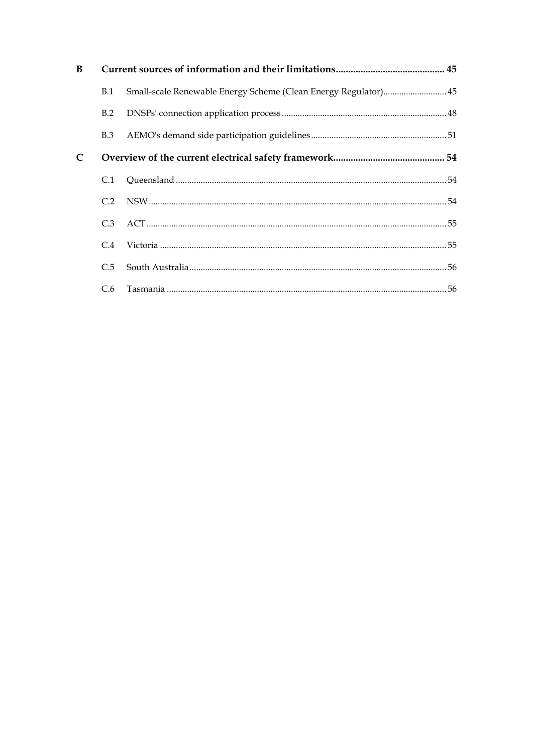| B |            |                                                                 |  |
|---|------------|-----------------------------------------------------------------|--|
|   | <b>B.1</b> | Small-scale Renewable Energy Scheme (Clean Energy Regulator) 45 |  |
|   | B.2        |                                                                 |  |
|   | <b>B.3</b> |                                                                 |  |
| C |            |                                                                 |  |
|   | C.1        |                                                                 |  |
|   | C.2        |                                                                 |  |
|   | C.3        |                                                                 |  |
|   | C.4        |                                                                 |  |
|   | C.5        |                                                                 |  |
|   |            |                                                                 |  |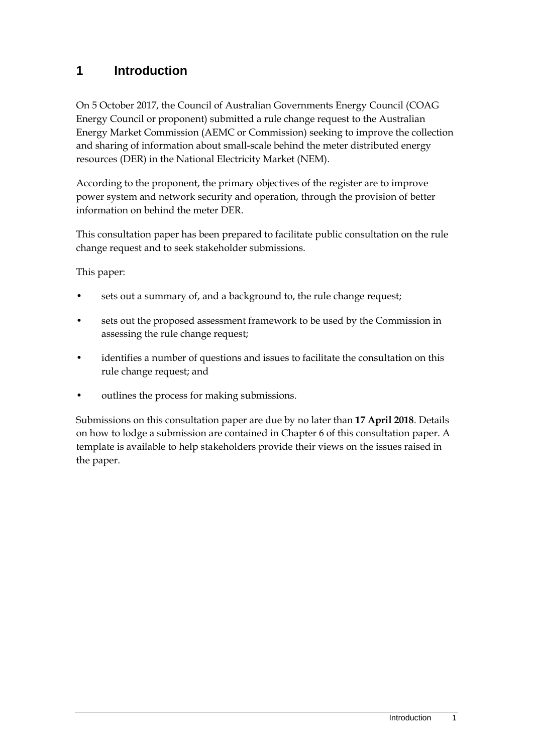# <span id="page-4-0"></span>**1 Introduction**

On 5 October 2017, the Council of Australian Governments Energy Council (COAG Energy Council or proponent) submitted a rule change request to the Australian Energy Market Commission (AEMC or Commission) seeking to improve the collection and sharing of information about small-scale behind the meter distributed energy resources (DER) in the National Electricity Market (NEM).

According to the proponent, the primary objectives of the register are to improve power system and network security and operation, through the provision of better information on behind the meter DER.

This consultation paper has been prepared to facilitate public consultation on the rule change request and to seek stakeholder submissions.

This paper:

- sets out a summary of, and a background to, the rule change request;
- sets out the proposed assessment framework to be used by the Commission in assessing the rule change request;
- identifies a number of questions and issues to facilitate the consultation on this rule change request; and
- outlines the process for making submissions.

Submissions on this consultation paper are due by no later than **17 April 2018**. Details on how to lodge a submission are contained in Chapter [6](#page-42-0) of this consultation paper. A template is available to help stakeholders provide their views on the issues raised in the paper.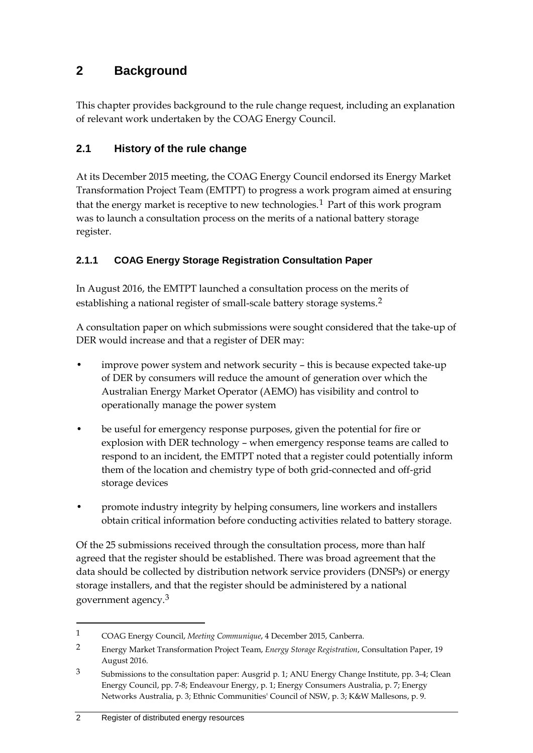# <span id="page-5-0"></span>**2 Background**

This chapter provides background to the rule change request, including an explanation of relevant work undertaken by the COAG Energy Council.

### <span id="page-5-1"></span>**2.1 History of the rule change**

At its December 2015 meeting, the COAG Energy Council endorsed its Energy Market Transformation Project Team (EMTPT) to progress a work program aimed at ensuring that the energy market is receptive to new technologies.<sup>[1](#page-5-2)</sup> Part of this work program was to launch a consultation process on the merits of a national battery storage register.

### **2.1.1 COAG Energy Storage Registration Consultation Paper**

In August 2016, the EMTPT launched a consultation process on the merits of establishing a national register of small-scale battery storage systems.<sup>[2](#page-5-3)</sup>

A consultation paper on which submissions were sought considered that the take-up of DER would increase and that a register of DER may:

- improve power system and network security this is because expected take-up of DER by consumers will reduce the amount of generation over which the Australian Energy Market Operator (AEMO) has visibility and control to operationally manage the power system
- be useful for emergency response purposes, given the potential for fire or explosion with DER technology – when emergency response teams are called to respond to an incident, the EMTPT noted that a register could potentially inform them of the location and chemistry type of both grid-connected and off-grid storage devices
- promote industry integrity by helping consumers, line workers and installers obtain critical information before conducting activities related to battery storage.

Of the 25 submissions received through the consultation process, more than half agreed that the register should be established. There was broad agreement that the data should be collected by distribution network service providers (DNSPs) or energy storage installers, and that the register should be administered by a national government agency.[3](#page-5-4)

<span id="page-5-2"></span><sup>1</sup> COAG Energy Council, *Meeting Communique*, 4 December 2015, Canberra.

<span id="page-5-3"></span><sup>2</sup> Energy Market Transformation Project Team, *Energy Storage Registration*, Consultation Paper, 19 August 2016.

<span id="page-5-4"></span><sup>3</sup> Submissions to the consultation paper: Ausgrid p. 1; ANU Energy Change Institute, pp. 3-4; Clean Energy Council, pp. 7-8; Endeavour Energy, p. 1; Energy Consumers Australia, p. 7; Energy Networks Australia, p. 3; Ethnic Communities' Council of NSW, p. 3; K&W Mallesons, p. 9.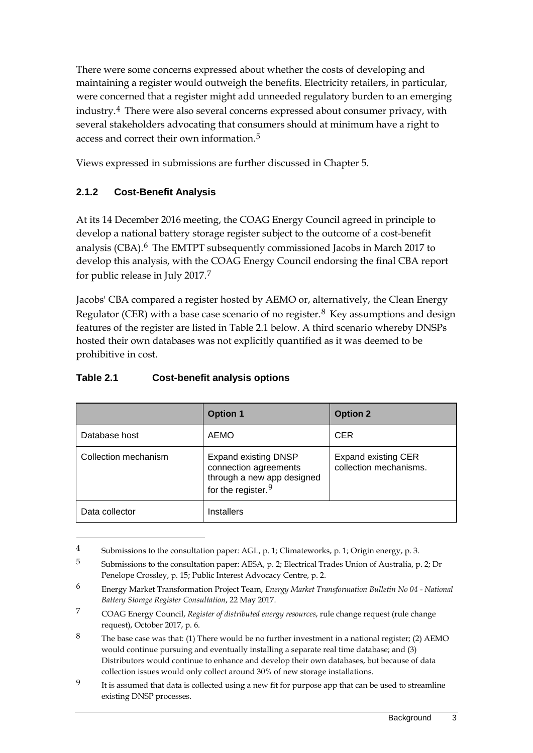There were some concerns expressed about whether the costs of developing and maintaining a register would outweigh the benefits. Electricity retailers, in particular, were concerned that a register might add unneeded regulatory burden to an emerging industry.[4](#page-6-0) There were also several concerns expressed about consumer privacy, with several stakeholders advocating that consumers should at minimum have a right to access and correct their own information.[5](#page-6-1)

Views expressed in submissions are further discussed in Chapter [5.](#page-17-0)

### **2.1.2 Cost-Benefit Analysis**

At its 14 December 2016 meeting, the COAG Energy Council agreed in principle to develop a national battery storage register subject to the outcome of a cost-benefit analysis (CBA).[6](#page-6-2) The EMTPT subsequently commissioned Jacobs in March 2017 to develop this analysis, with the COAG Energy Council endorsing the final CBA report for public release in July 2017.[7](#page-6-3)

Jacobs' CBA compared a register hosted by AEMO or, alternatively, the Clean Energy Regulator (CER) with a base case scenario of no register.<sup>[8](#page-6-4)</sup> Key assumptions and design features of the register are listed in Table 2.1 below. A third scenario whereby DNSPs hosted their own databases was not explicitly quantified as it was deemed to be prohibitive in cost.

|                      | <b>Option 1</b>                                                                                                      | <b>Option 2</b>                                      |
|----------------------|----------------------------------------------------------------------------------------------------------------------|------------------------------------------------------|
| Database host        | <b>AEMO</b>                                                                                                          | <b>CER</b>                                           |
| Collection mechanism | <b>Expand existing DNSP</b><br>connection agreements<br>through a new app designed<br>for the register. <sup>9</sup> | <b>Expand existing CER</b><br>collection mechanisms. |
| Data collector       | <b>Installers</b>                                                                                                    |                                                      |

#### **Table 2.1 Cost-benefit analysis options**

<span id="page-6-0"></span><sup>4</sup> Submissions to the consultation paper: AGL, p. 1; Climateworks, p. 1; Origin energy, p. 3.

<span id="page-6-1"></span><sup>5</sup> Submissions to the consultation paper: AESA, p. 2; Electrical Trades Union of Australia, p. 2; Dr Penelope Crossley, p. 15; Public Interest Advocacy Centre, p. 2.

<span id="page-6-2"></span><sup>6</sup> Energy Market Transformation Project Team, *Energy Market Transformation Bulletin No 04 - National Battery Storage Register Consultation*, 22 May 2017.

<span id="page-6-3"></span><sup>7</sup> COAG Energy Council, *Register of distributed energy resources*, rule change request (rule change request), October 2017, p. 6.

<span id="page-6-4"></span><sup>&</sup>lt;sup>8</sup> The base case was that: (1) There would be no further investment in a national register; (2) AEMO would continue pursuing and eventually installing a separate real time database; and (3) Distributors would continue to enhance and develop their own databases, but because of data collection issues would only collect around 30% of new storage installations.

<span id="page-6-5"></span><sup>&</sup>lt;sup>9</sup> It is assumed that data is collected using a new fit for purpose app that can be used to streamline existing DNSP processes.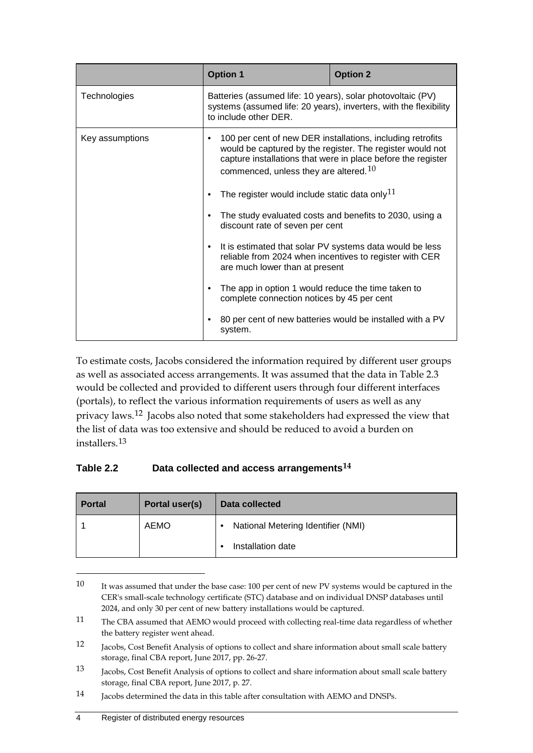|                 | <b>Option 1</b>                                                                                                                                                                                                                          | <b>Option 2</b>                                           |  |
|-----------------|------------------------------------------------------------------------------------------------------------------------------------------------------------------------------------------------------------------------------------------|-----------------------------------------------------------|--|
| Technologies    | Batteries (assumed life: 10 years), solar photovoltaic (PV)<br>systems (assumed life: 20 years), inverters, with the flexibility<br>to include other DER.                                                                                |                                                           |  |
| Key assumptions | 100 per cent of new DER installations, including retrofits<br>٠<br>would be captured by the register. The register would not<br>capture installations that were in place before the register<br>commenced, unless they are altered. $10$ |                                                           |  |
|                 | The register would include static data only <sup>11</sup>                                                                                                                                                                                |                                                           |  |
|                 | The study evaluated costs and benefits to 2030, using a<br>٠<br>discount rate of seven per cent                                                                                                                                          |                                                           |  |
|                 | It is estimated that solar PV systems data would be less<br>$\bullet$<br>reliable from 2024 when incentives to register with CER<br>are much lower than at present                                                                       |                                                           |  |
|                 | The app in option 1 would reduce the time taken to<br>٠<br>complete connection notices by 45 per cent                                                                                                                                    |                                                           |  |
|                 | ٠<br>system.                                                                                                                                                                                                                             | 80 per cent of new batteries would be installed with a PV |  |

To estimate costs, Jacobs considered the information required by different user groups as well as associated access arrangements. It was assumed that the data in Table 2.3 would be collected and provided to different users through four different interfaces (portals), to reflect the various information requirements of users as well as any privacy laws.[12](#page-7-2) Jacobs also noted that some stakeholders had expressed the view that the list of data was too extensive and should be reduced to avoid a burden on installers.[13](#page-7-3)

### **Table 2.2 Data collected and access arrangements[14](#page-7-4)**

| <b>Portal</b> | Portal user(s) | Data collected                     |
|---------------|----------------|------------------------------------|
|               | <b>AEMO</b>    | National Metering Identifier (NMI) |
|               |                | Installation date                  |

<span id="page-7-0"></span><sup>10</sup> It was assumed that under the base case: 100 per cent of new PV systems would be captured in the CER's small-scale technology certificate (STC) database and on individual DNSP databases until 2024, and only 30 per cent of new battery installations would be captured.

<span id="page-7-1"></span><sup>11</sup> The CBA assumed that AEMO would proceed with collecting real-time data regardless of whether the battery register went ahead.

<span id="page-7-2"></span><sup>12</sup> Jacobs, Cost Benefit Analysis of options to collect and share information about small scale battery storage, final CBA report, June 2017, pp. 26-27.

<span id="page-7-3"></span><sup>13</sup> Jacobs, Cost Benefit Analysis of options to collect and share information about small scale battery storage, final CBA report, June 2017, p. 27.

<span id="page-7-4"></span><sup>14</sup> Jacobs determined the data in this table after consultation with AEMO and DNSPs.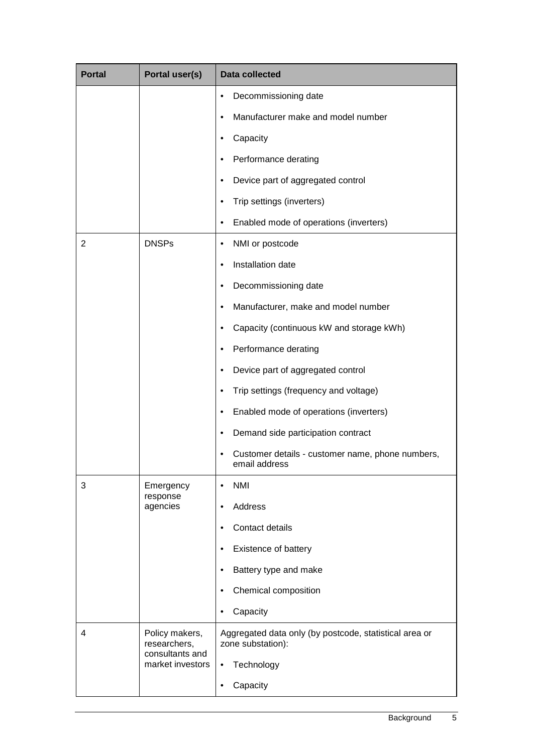| <b>Portal</b> | Portal user(s)                                                        | <b>Data collected</b>                                                       |  |  |
|---------------|-----------------------------------------------------------------------|-----------------------------------------------------------------------------|--|--|
|               |                                                                       | Decommissioning date                                                        |  |  |
|               |                                                                       | Manufacturer make and model number                                          |  |  |
|               |                                                                       | Capacity                                                                    |  |  |
|               |                                                                       | Performance derating                                                        |  |  |
|               |                                                                       | Device part of aggregated control<br>$\bullet$                              |  |  |
|               |                                                                       | Trip settings (inverters)<br>$\bullet$                                      |  |  |
|               |                                                                       | Enabled mode of operations (inverters)<br>$\bullet$                         |  |  |
| 2             | <b>DNSPs</b>                                                          | NMI or postcode<br>٠                                                        |  |  |
|               |                                                                       | Installation date<br>$\bullet$                                              |  |  |
|               |                                                                       | Decommissioning date<br>٠                                                   |  |  |
|               |                                                                       | Manufacturer, make and model number<br>٠                                    |  |  |
|               |                                                                       | Capacity (continuous kW and storage kWh)<br>٠                               |  |  |
|               |                                                                       | Performance derating<br>٠                                                   |  |  |
|               |                                                                       | Device part of aggregated control<br>٠                                      |  |  |
|               |                                                                       | Trip settings (frequency and voltage)<br>٠                                  |  |  |
|               |                                                                       | Enabled mode of operations (inverters)<br>$\bullet$                         |  |  |
|               |                                                                       | Demand side participation contract<br>٠                                     |  |  |
|               |                                                                       | Customer details - customer name, phone numbers,<br>٠<br>email address      |  |  |
| 3             | Emergency<br>response                                                 | <b>NMI</b><br>$\bullet$                                                     |  |  |
|               | agencies                                                              | Address<br>$\bullet$                                                        |  |  |
|               |                                                                       | Contact details<br>$\bullet$                                                |  |  |
|               |                                                                       | Existence of battery<br>$\bullet$                                           |  |  |
|               |                                                                       | Battery type and make<br>$\bullet$                                          |  |  |
|               |                                                                       | Chemical composition<br>٠                                                   |  |  |
|               |                                                                       | Capacity<br>$\bullet$                                                       |  |  |
| 4             | Policy makers,<br>researchers,<br>consultants and<br>market investors | Aggregated data only (by postcode, statistical area or<br>zone substation): |  |  |
|               |                                                                       | Technology<br>$\bullet$                                                     |  |  |
|               |                                                                       | Capacity<br>$\bullet$                                                       |  |  |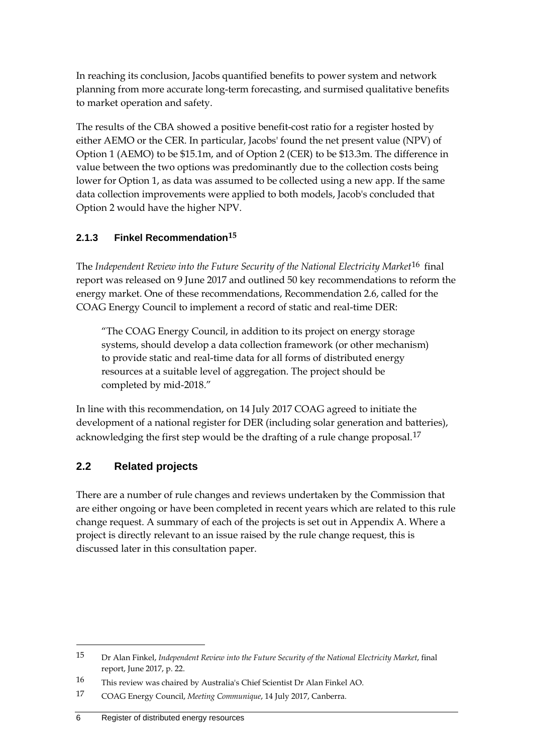In reaching its conclusion, Jacobs quantified benefits to power system and network planning from more accurate long-term forecasting, and surmised qualitative benefits to market operation and safety.

The results of the CBA showed a positive benefit-cost ratio for a register hosted by either AEMO or the CER. In particular, Jacobs' found the net present value (NPV) of Option 1 (AEMO) to be \$15.1m, and of Option 2 (CER) to be \$13.3m. The difference in value between the two options was predominantly due to the collection costs being lower for Option 1, as data was assumed to be collected using a new app. If the same data collection improvements were applied to both models, Jacob's concluded that Option 2 would have the higher NPV.

### **2.1.3 Finkel Recommendation[15](#page-9-1)**

The *Independent Review into the Future Security of the National Electricity Market*[16](#page-9-2) final report was released on 9 June 2017 and outlined 50 key recommendations to reform the energy market. One of these recommendations, Recommendation 2.6, called for the COAG Energy Council to implement a record of static and real-time DER:

"The COAG Energy Council, in addition to its project on energy storage systems, should develop a data collection framework (or other mechanism) to provide static and real-time data for all forms of distributed energy resources at a suitable level of aggregation. The project should be completed by mid-2018."

In line with this recommendation, on 14 July 2017 COAG agreed to initiate the development of a national register for DER (including solar generation and batteries), acknowledging the first step would be the drafting of a rule change proposal.<sup>[17](#page-9-3)</sup>

## <span id="page-9-0"></span>**2.2 Related projects**

-

There are a number of rule changes and reviews undertaken by the Commission that are either ongoing or have been completed in recent years which are related to this rule change request. A summary of each of the projects is set out in Appendix [A.](#page-45-0) Where a project is directly relevant to an issue raised by the rule change request, this is discussed later in this consultation paper.

<span id="page-9-1"></span><sup>15</sup> Dr Alan Finkel, *Independent Review into the Future Security of the National Electricity Market*, final report, June 2017, p. 22.

<span id="page-9-2"></span><sup>16</sup> This review was chaired by Australia's Chief Scientist Dr Alan Finkel AO.

<span id="page-9-3"></span><sup>17</sup> COAG Energy Council, *Meeting Communique*, 14 July 2017, Canberra.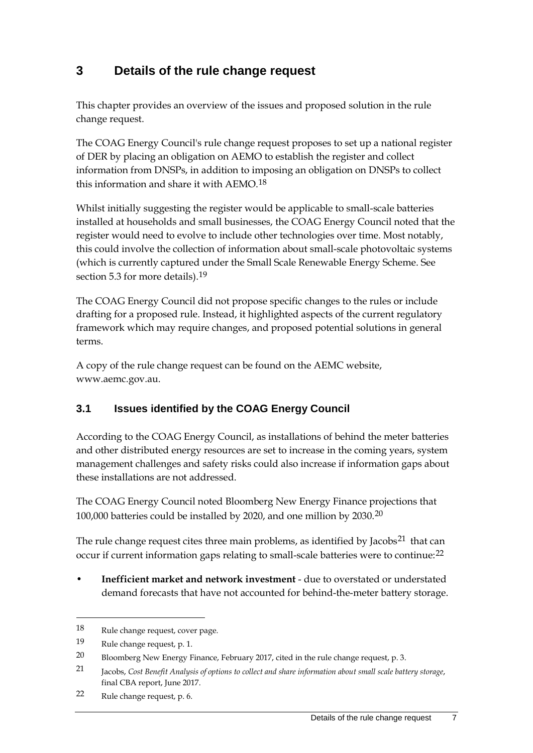# <span id="page-10-0"></span>**3 Details of the rule change request**

This chapter provides an overview of the issues and proposed solution in the rule change request.

The COAG Energy Council's rule change request proposes to set up a national register of DER by placing an obligation on AEMO to establish the register and collect information from DNSPs, in addition to imposing an obligation on DNSPs to collect this information and share it with AEMO.[18](#page-10-2)

Whilst initially suggesting the register would be applicable to small-scale batteries installed at households and small businesses, the COAG Energy Council noted that the register would need to evolve to include other technologies over time. Most notably, this could involve the collection of information about small-scale photovoltaic systems (which is currently captured under the Small Scale Renewable Energy Scheme. See section [5.3](#page-28-0) for more details).<sup>[19](#page-10-3)</sup>

The COAG Energy Council did not propose specific changes to the rules or include drafting for a proposed rule. Instead, it highlighted aspects of the current regulatory framework which may require changes, and proposed potential solutions in general terms.

A copy of the rule change request can be found on the AEMC website, www.aemc.gov.au.

### <span id="page-10-1"></span>**3.1 Issues identified by the COAG Energy Council**

According to the COAG Energy Council, as installations of behind the meter batteries and other distributed energy resources are set to increase in the coming years, system management challenges and safety risks could also increase if information gaps about these installations are not addressed.

The COAG Energy Council noted Bloomberg New Energy Finance projections that 100,000 batteries could be installed by 2020, and one million by 2030.[20](#page-10-4)

The rule change request cites three main problems, as identified by Jacobs<sup>[21](#page-10-5)</sup> that can occur if current information gaps relating to small-scale batteries were to continue:[22](#page-10-6)

• **Inefficient market and network investment** - due to overstated or understated demand forecasts that have not accounted for behind-the-meter battery storage.

<span id="page-10-2"></span><sup>18</sup> Rule change request, cover page.

<span id="page-10-3"></span><sup>19</sup> Rule change request, p. 1.

<span id="page-10-4"></span><sup>20</sup> Bloomberg New Energy Finance, February 2017, cited in the rule change request, p. 3.

<span id="page-10-5"></span><sup>21</sup> Jacobs, *Cost Benefit Analysis of options to collect and share information about small scale battery storage*, final CBA report, June 2017.

<span id="page-10-6"></span><sup>22</sup> Rule change request, p. 6.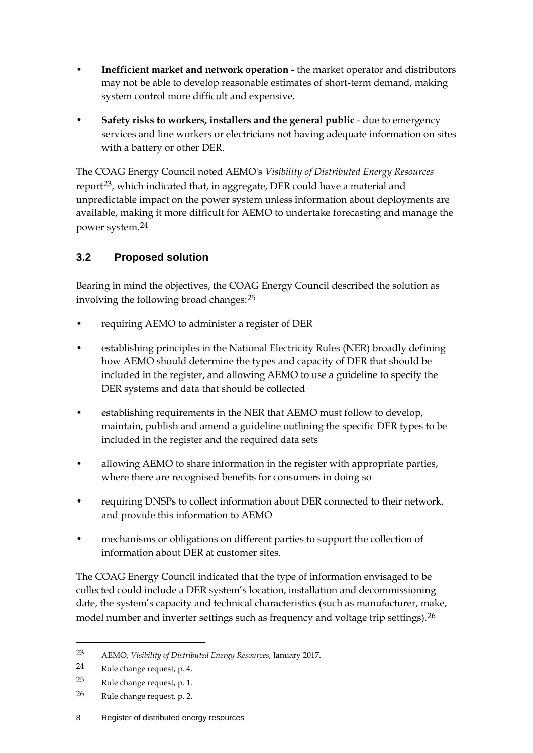- **Inefficient market and network operation** the market operator and distributors may not be able to develop reasonable estimates of short-term demand, making system control more difficult and expensive.
- **Safety risks to workers, installers and the general public** due to emergency services and line workers or electricians not having adequate information on sites with a battery or other DER.

The COAG Energy Council noted AEMO's *Visibility of Distributed Energy Resources* report<sup>23</sup>, which indicated that, in aggregate, DER could have a material and unpredictable impact on the power system unless information about deployments are available, making it more difficult for AEMO to undertake forecasting and manage the power system.[24](#page-11-2)

## <span id="page-11-0"></span>**3.2 Proposed solution**

Bearing in mind the objectives, the COAG Energy Council described the solution as involving the following broad changes:[25](#page-11-3)

- requiring AEMO to administer a register of DER
- establishing principles in the National Electricity Rules (NER) broadly defining how AEMO should determine the types and capacity of DER that should be included in the register, and allowing AEMO to use a guideline to specify the DER systems and data that should be collected
- establishing requirements in the NER that AEMO must follow to develop, maintain, publish and amend a guideline outlining the specific DER types to be included in the register and the required data sets
- allowing AEMO to share information in the register with appropriate parties, where there are recognised benefits for consumers in doing so
- requiring DNSPs to collect information about DER connected to their network, and provide this information to AEMO
- mechanisms or obligations on different parties to support the collection of information about DER at customer sites.

The COAG Energy Council indicated that the type of information envisaged to be collected could include a DER system's location, installation and decommissioning date, the system's capacity and technical characteristics (such as manufacturer, make, model number and inverter settings such as frequency and voltage trip settings).<sup>[26](#page-11-4)</sup>

-

<span id="page-11-4"></span>26 Rule change request, p. 2.

<span id="page-11-1"></span><sup>23</sup> AEMO, *Visibility of Distributed Energy Resources*, January 2017.

<span id="page-11-2"></span><sup>24</sup> Rule change request, p. 4.

<span id="page-11-3"></span><sup>25</sup> Rule change request, p. 1.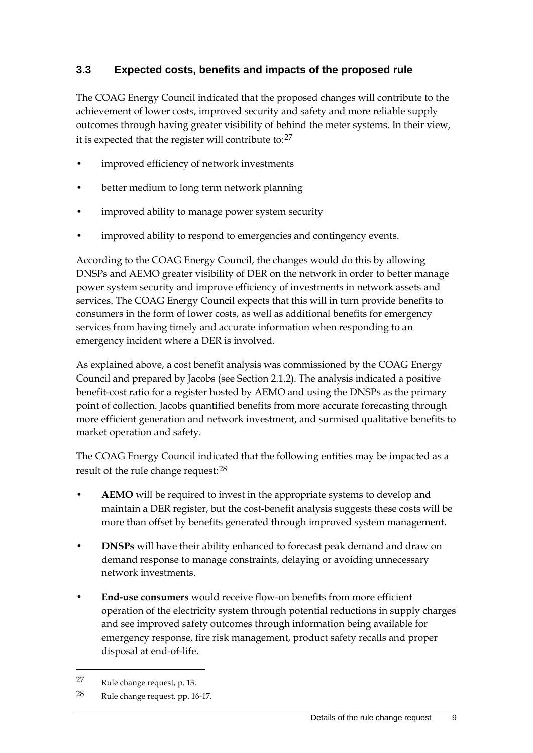### <span id="page-12-0"></span>**3.3 Expected costs, benefits and impacts of the proposed rule**

The COAG Energy Council indicated that the proposed changes will contribute to the achievement of lower costs, improved security and safety and more reliable supply outcomes through having greater visibility of behind the meter systems. In their view, it is expected that the register will contribute to:[27](#page-12-1)

- improved efficiency of network investments
- better medium to long term network planning
- improved ability to manage power system security
- improved ability to respond to emergencies and contingency events.

According to the COAG Energy Council, the changes would do this by allowing DNSPs and AEMO greater visibility of DER on the network in order to better manage power system security and improve efficiency of investments in network assets and services. The COAG Energy Council expects that this will in turn provide benefits to consumers in the form of lower costs, as well as additional benefits for emergency services from having timely and accurate information when responding to an emergency incident where a DER is involved.

As explained above, a cost benefit analysis was commissioned by the COAG Energy Council and prepared by Jacobs (see Section 2.1.2). The analysis indicated a positive benefit-cost ratio for a register hosted by AEMO and using the DNSPs as the primary point of collection. Jacobs quantified benefits from more accurate forecasting through more efficient generation and network investment, and surmised qualitative benefits to market operation and safety.

The COAG Energy Council indicated that the following entities may be impacted as a result of the rule change request: <sup>[28](#page-12-2)</sup>

- **AEMO** will be required to invest in the appropriate systems to develop and maintain a DER register, but the cost-benefit analysis suggests these costs will be more than offset by benefits generated through improved system management.
- **DNSPs** will have their ability enhanced to forecast peak demand and draw on demand response to manage constraints, delaying or avoiding unnecessary network investments.
- **End-use consumers** would receive flow-on benefits from more efficient operation of the electricity system through potential reductions in supply charges and see improved safety outcomes through information being available for emergency response, fire risk management, product safety recalls and proper disposal at end-of-life.

<span id="page-12-1"></span><sup>27</sup> Rule change request, p. 13.

<span id="page-12-2"></span><sup>28</sup> Rule change request, pp. 16-17.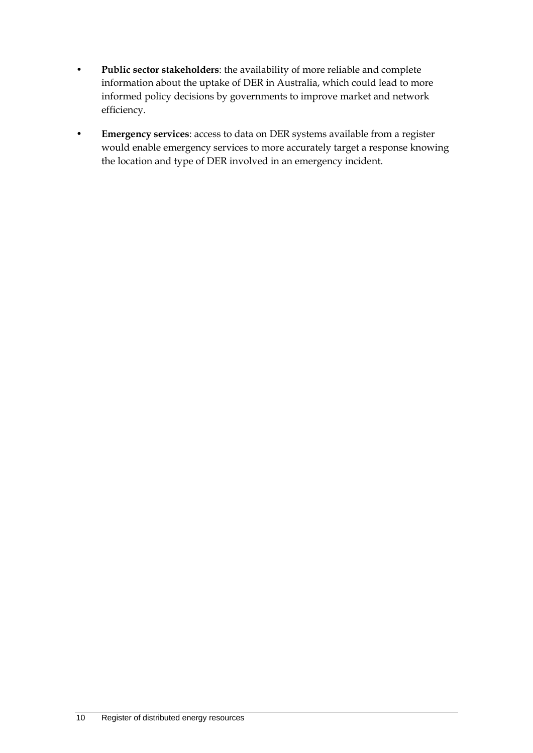- **Public sector stakeholders**: the availability of more reliable and complete information about the uptake of DER in Australia, which could lead to more informed policy decisions by governments to improve market and network efficiency.
- **Emergency services**: access to data on DER systems available from a register would enable emergency services to more accurately target a response knowing the location and type of DER involved in an emergency incident.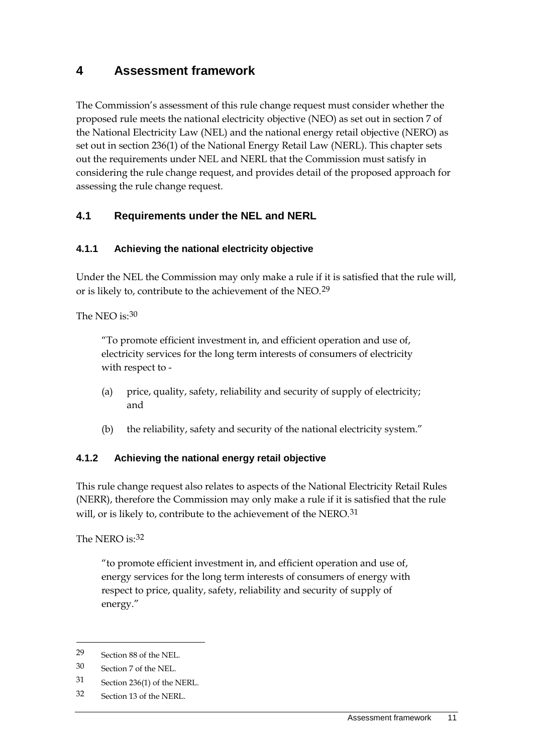# <span id="page-14-0"></span>**4 Assessment framework**

The Commission's assessment of this rule change request must consider whether the proposed rule meets the national electricity objective (NEO) as set out in section 7 of the National Electricity Law (NEL) and the national energy retail objective (NERO) as set out in section 236(1) of the National Energy Retail Law (NERL). This chapter sets out the requirements under NEL and NERL that the Commission must satisfy in considering the rule change request, and provides detail of the proposed approach for assessing the rule change request.

### <span id="page-14-1"></span>**4.1 Requirements under the NEL and NERL**

### **4.1.1 Achieving the national electricity objective**

Under the NEL the Commission may only make a rule if it is satisfied that the rule will, or is likely to, contribute to the achievement of the NEO.[29](#page-14-2)

The NEO is: [30](#page-14-3)

"To promote efficient investment in, and efficient operation and use of, electricity services for the long term interests of consumers of electricity with respect to -

- (a) price, quality, safety, reliability and security of supply of electricity; and
- (b) the reliability, safety and security of the national electricity system."

### **4.1.2 Achieving the national energy retail objective**

This rule change request also relates to aspects of the National Electricity Retail Rules (NERR), therefore the Commission may only make a rule if it is satisfied that the rule will, or is likely to, contribute to the achievement of the NERO.<sup>[31](#page-14-4)</sup>

The NERO is: [32](#page-14-5)

"to promote efficient investment in, and efficient operation and use of, energy services for the long term interests of consumers of energy with respect to price, quality, safety, reliability and security of supply of energy."

- <span id="page-14-4"></span>31 Section 236(1) of the NERL.
- <span id="page-14-5"></span>32 Section 13 of the NERL.

<span id="page-14-2"></span><sup>29</sup> Section 88 of the NEL.

<span id="page-14-3"></span><sup>30</sup> Section 7 of the NEL.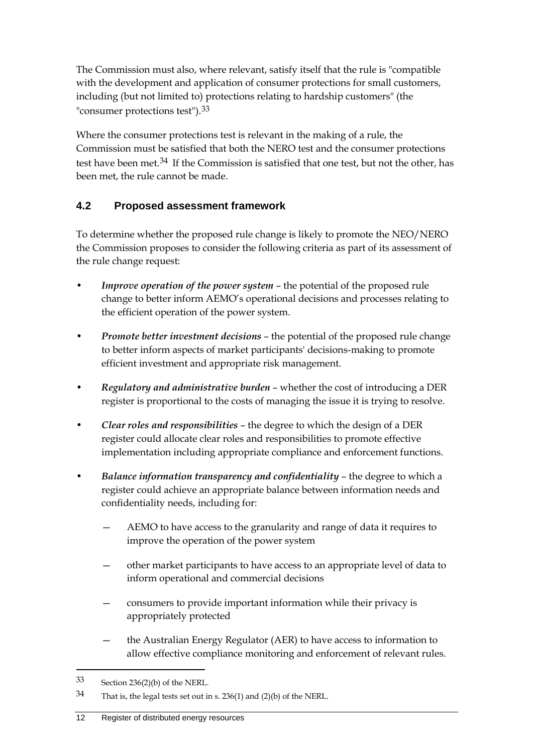The Commission must also, where relevant, satisfy itself that the rule is "compatible with the development and application of consumer protections for small customers, including (but not limited to) protections relating to hardship customers" (the "consumer protections test").[33](#page-15-1)

Where the consumer protections test is relevant in the making of a rule, the Commission must be satisfied that both the NERO test and the consumer protections test have been met.<sup>[34](#page-15-2)</sup> If the Commission is satisfied that one test, but not the other, has been met, the rule cannot be made.

## <span id="page-15-0"></span>**4.2 Proposed assessment framework**

To determine whether the proposed rule change is likely to promote the NEO/NERO the Commission proposes to consider the following criteria as part of its assessment of the rule change request:

- *Improve operation of the power system* the potential of the proposed rule change to better inform AEMO's operational decisions and processes relating to the efficient operation of the power system.
- *Promote better investment decisions* the potential of the proposed rule change to better inform aspects of market participants' decisions-making to promote efficient investment and appropriate risk management.
- *Regulatory and administrative burden* whether the cost of introducing a DER register is proportional to the costs of managing the issue it is trying to resolve.
- *Clear roles and responsibilities* the degree to which the design of a DER register could allocate clear roles and responsibilities to promote effective implementation including appropriate compliance and enforcement functions.
- *Balance information transparency and confidentiality* the degree to which a register could achieve an appropriate balance between information needs and confidentiality needs, including for:
	- AEMO to have access to the granularity and range of data it requires to improve the operation of the power system
	- other market participants to have access to an appropriate level of data to inform operational and commercial decisions
	- consumers to provide important information while their privacy is appropriately protected
	- the Australian Energy Regulator (AER) to have access to information to allow effective compliance monitoring and enforcement of relevant rules.

<span id="page-15-1"></span><sup>33</sup> Section 236(2)(b) of the NERL.

<span id="page-15-2"></span><sup>34</sup> That is, the legal tests set out in s. 236(1) and (2)(b) of the NERL.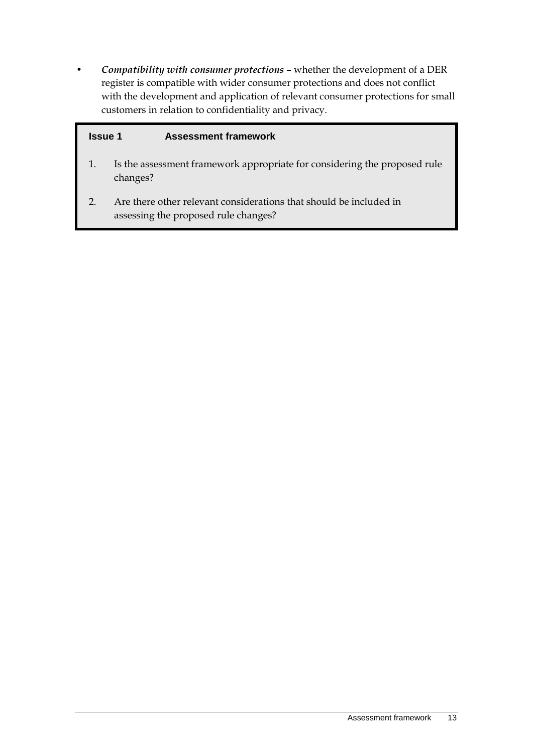• *Compatibility with consumer protections* – whether the development of a DER register is compatible with wider consumer protections and does not conflict with the development and application of relevant consumer protections for small customers in relation to confidentiality and privacy.

#### **Issue 1 Assessment framework**

- 1. Is the assessment framework appropriate for considering the proposed rule changes?
- 2. Are there other relevant considerations that should be included in assessing the proposed rule changes?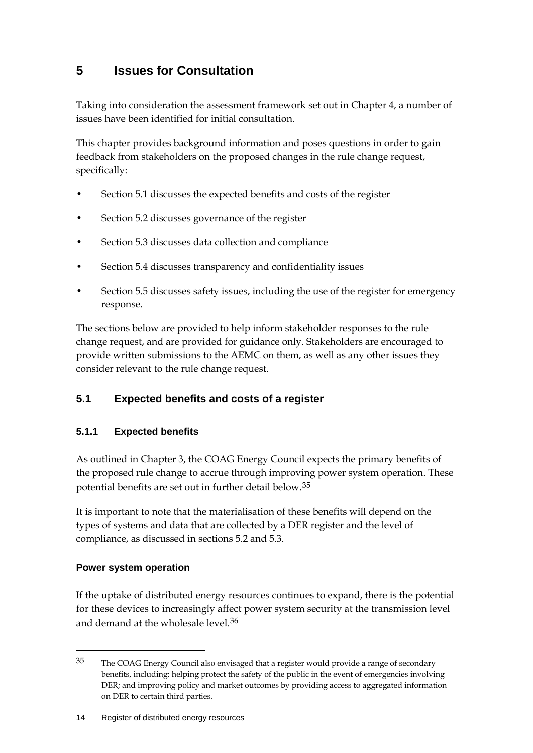# <span id="page-17-0"></span>**5 Issues for Consultation**

Taking into consideration the assessment framework set out in Chapter [4,](#page-14-0) a number of issues have been identified for initial consultation.

This chapter provides background information and poses questions in order to gain feedback from stakeholders on the proposed changes in the rule change request, specifically:

- Section [5.1](#page-17-1) discusses the expected benefits and costs of the register
- Section [5.2](#page-22-0) discusses governance of the register
- Section [5.3](#page-28-0) discusses data collection and compliance
- Section [5.4](#page-34-0) discusses transparency and confidentiality issues
- Section [5.5](#page-38-0) discusses safety issues, including the use of the register for emergency response.

The sections below are provided to help inform stakeholder responses to the rule change request, and are provided for guidance only. Stakeholders are encouraged to provide written submissions to the AEMC on them, as well as any other issues they consider relevant to the rule change request.

### <span id="page-17-1"></span>**5.1 Expected benefits and costs of a register**

### **5.1.1 Expected benefits**

As outlined in Chapter [3,](#page-10-0) the COAG Energy Council expects the primary benefits of the proposed rule change to accrue through improving power system operation. These potential benefits are set out in further detail below.[35](#page-17-2)

It is important to note that the materialisation of these benefits will depend on the types of systems and data that are collected by a DER register and the level of compliance, as discussed in sections [5.2](#page-22-0) and [5.3.](#page-28-0)

### **Power system operation**

<span id="page-17-3"></span>-

If the uptake of distributed energy resources continues to expand, there is the potential for these devices to increasingly affect power system security at the transmission level and demand at the wholesale level.[36](#page-17-3)

<span id="page-17-2"></span><sup>35</sup> The COAG Energy Council also envisaged that a register would provide a range of secondary benefits, including: helping protect the safety of the public in the event of emergencies involving DER; and improving policy and market outcomes by providing access to aggregated information on DER to certain third parties.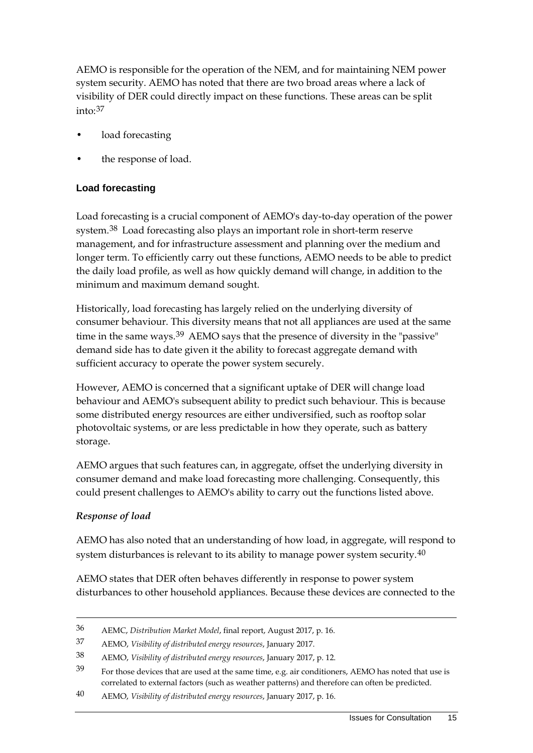AEMO is responsible for the operation of the NEM, and for maintaining NEM power system security. AEMO has noted that there are two broad areas where a lack of visibility of DER could directly impact on these functions. These areas can be split into: [37](#page-18-0)

- load forecasting
- the response of load.

### **Load forecasting**

Load forecasting is a crucial component of AEMO's day-to-day operation of the power system.[38](#page-18-1) Load forecasting also plays an important role in short-term reserve management, and for infrastructure assessment and planning over the medium and longer term. To efficiently carry out these functions, AEMO needs to be able to predict the daily load profile, as well as how quickly demand will change, in addition to the minimum and maximum demand sought.

Historically, load forecasting has largely relied on the underlying diversity of consumer behaviour. This diversity means that not all appliances are used at the same time in the same ways.<sup>[39](#page-18-2)</sup> AEMO says that the presence of diversity in the "passive" demand side has to date given it the ability to forecast aggregate demand with sufficient accuracy to operate the power system securely.

However, AEMO is concerned that a significant uptake of DER will change load behaviour and AEMO's subsequent ability to predict such behaviour. This is because some distributed energy resources are either undiversified, such as rooftop solar photovoltaic systems, or are less predictable in how they operate, such as battery storage.

AEMO argues that such features can, in aggregate, offset the underlying diversity in consumer demand and make load forecasting more challenging. Consequently, this could present challenges to AEMO's ability to carry out the functions listed above.

### *Response of load*

-

AEMO has also noted that an understanding of how load, in aggregate, will respond to system disturbances is relevant to its ability to manage power system security.<sup>[40](#page-18-3)</sup>

AEMO states that DER often behaves differently in response to power system disturbances to other household appliances. Because these devices are connected to the

<sup>36</sup> AEMC, *Distribution Market Model*, final report, August 2017, p. 16.

<span id="page-18-0"></span><sup>37</sup> AEMO, *Visibility of distributed energy resources*, January 2017.

<span id="page-18-1"></span><sup>38</sup> AEMO, *Visibility of distributed energy resources*, January 2017, p. 12.

<span id="page-18-2"></span><sup>39</sup> For those devices that are used at the same time, e.g. air conditioners, AEMO has noted that use is correlated to external factors (such as weather patterns) and therefore can often be predicted.

<span id="page-18-3"></span><sup>40</sup> AEMO, *Visibility of distributed energy resources*, January 2017, p. 16.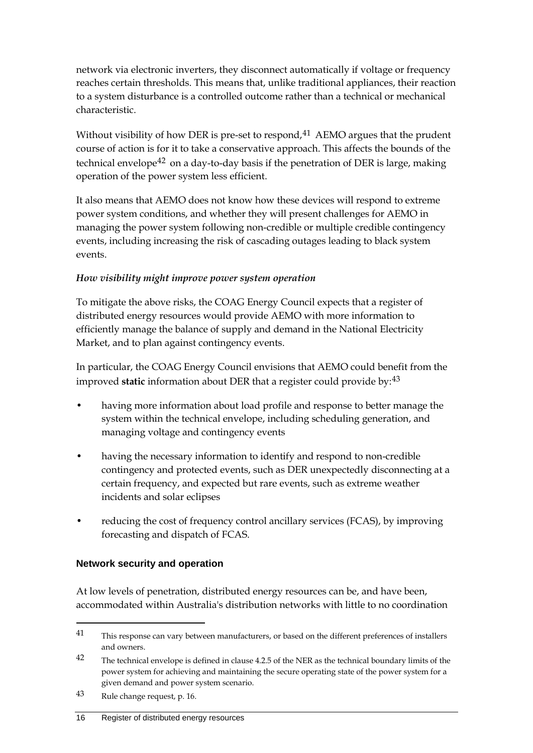network via electronic inverters, they disconnect automatically if voltage or frequency reaches certain thresholds. This means that, unlike traditional appliances, their reaction to a system disturbance is a controlled outcome rather than a technical or mechanical characteristic.

Without visibility of how DER is pre-set to respond,  $41$  AEMO argues that the prudent course of action is for it to take a conservative approach. This affects the bounds of the technical envelope<sup>[42](#page-19-1)</sup> on a day-to-day basis if the penetration of DER is large, making operation of the power system less efficient.

It also means that AEMO does not know how these devices will respond to extreme power system conditions, and whether they will present challenges for AEMO in managing the power system following non-credible or multiple credible contingency events, including increasing the risk of cascading outages leading to black system events.

### *How visibility might improve power system operation*

To mitigate the above risks, the COAG Energy Council expects that a register of distributed energy resources would provide AEMO with more information to efficiently manage the balance of supply and demand in the National Electricity Market, and to plan against contingency events.

In particular, the COAG Energy Council envisions that AEMO could benefit from the improved **static** information about DER that a register could provide by:<sup>[43](#page-19-2)</sup>

- having more information about load profile and response to better manage the system within the technical envelope, including scheduling generation, and managing voltage and contingency events
- having the necessary information to identify and respond to non-credible contingency and protected events, such as DER unexpectedly disconnecting at a certain frequency, and expected but rare events, such as extreme weather incidents and solar eclipses
- reducing the cost of frequency control ancillary services (FCAS), by improving forecasting and dispatch of FCAS.

### **Network security and operation**

At low levels of penetration, distributed energy resources can be, and have been, accommodated within Australia's distribution networks with little to no coordination

<span id="page-19-0"></span><sup>41</sup> This response can vary between manufacturers, or based on the different preferences of installers and owners.

<span id="page-19-1"></span><sup>&</sup>lt;sup>42</sup> The technical envelope is defined in clause 4.2.5 of the NER as the technical boundary limits of the power system for achieving and maintaining the secure operating state of the power system for a given demand and power system scenario.

<span id="page-19-2"></span><sup>43</sup> Rule change request, p. 16.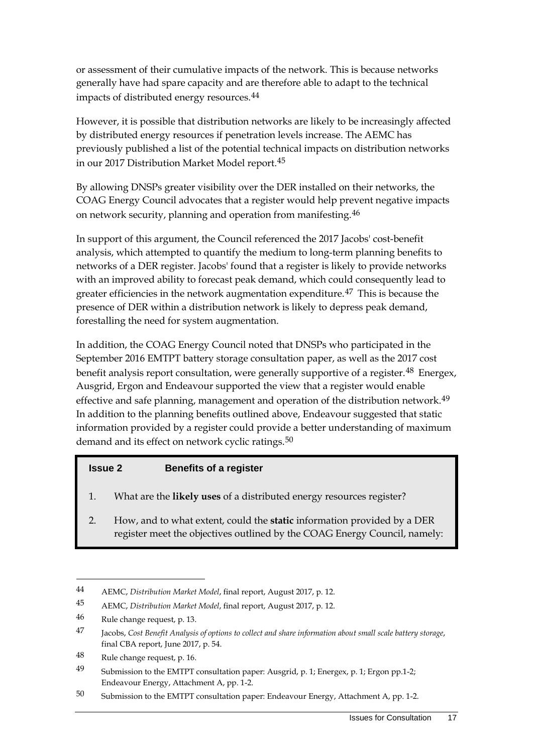or assessment of their cumulative impacts of the network. This is because networks generally have had spare capacity and are therefore able to adapt to the technical impacts of distributed energy resources.<sup>[44](#page-20-0)</sup>

However, it is possible that distribution networks are likely to be increasingly affected by distributed energy resources if penetration levels increase. The AEMC has previously published a list of the potential technical impacts on distribution networks in our 2017 Distribution Market Model report.[45](#page-20-1)

By allowing DNSPs greater visibility over the DER installed on their networks, the COAG Energy Council advocates that a register would help prevent negative impacts on network security, planning and operation from manifesting.<sup>[46](#page-20-2)</sup>

In support of this argument, the Council referenced the 2017 Jacobs' cost-benefit analysis, which attempted to quantify the medium to long-term planning benefits to networks of a DER register. Jacobs' found that a register is likely to provide networks with an improved ability to forecast peak demand, which could consequently lead to greater efficiencies in the network augmentation expenditure.[47](#page-20-3) This is because the presence of DER within a distribution network is likely to depress peak demand, forestalling the need for system augmentation.

In addition, the COAG Energy Council noted that DNSPs who participated in the September 2016 EMTPT battery storage consultation paper, as well as the 2017 cost benefit analysis report consultation, were generally supportive of a register.<sup>[48](#page-20-4)</sup> Energex, Ausgrid, Ergon and Endeavour supported the view that a register would enable effective and safe planning, management and operation of the distribution network.<sup>[49](#page-20-5)</sup> In addition to the planning benefits outlined above, Endeavour suggested that static information provided by a register could provide a better understanding of maximum demand and its effect on network cyclic ratings.<sup>[50](#page-20-6)</sup>

#### **Issue 2 Benefits of a register**

- 1. What are the **likely uses** of a distributed energy resources register?
- 2. How, and to what extent, could the **static** information provided by a DER register meet the objectives outlined by the COAG Energy Council, namely:

<span id="page-20-0"></span><sup>44</sup> AEMC, *Distribution Market Model*, final report, August 2017, p. 12.

<span id="page-20-1"></span><sup>45</sup> AEMC, *Distribution Market Model*, final report, August 2017, p. 12.

<span id="page-20-2"></span><sup>46</sup> Rule change request, p. 13.

<span id="page-20-3"></span><sup>47</sup> Jacobs, *Cost Benefit Analysis of options to collect and share information about small scale battery storage*, final CBA report, June 2017, p. 54.

<span id="page-20-4"></span><sup>48</sup> Rule change request, p. 16.

<span id="page-20-5"></span><sup>49</sup> Submission to the EMTPT consultation paper: Ausgrid, p. 1; Energex, p. 1; Ergon pp.1-2; Endeavour Energy, Attachment A, pp. 1-2.

<span id="page-20-6"></span><sup>50</sup> Submission to the EMTPT consultation paper: Endeavour Energy, Attachment A, pp. 1-2.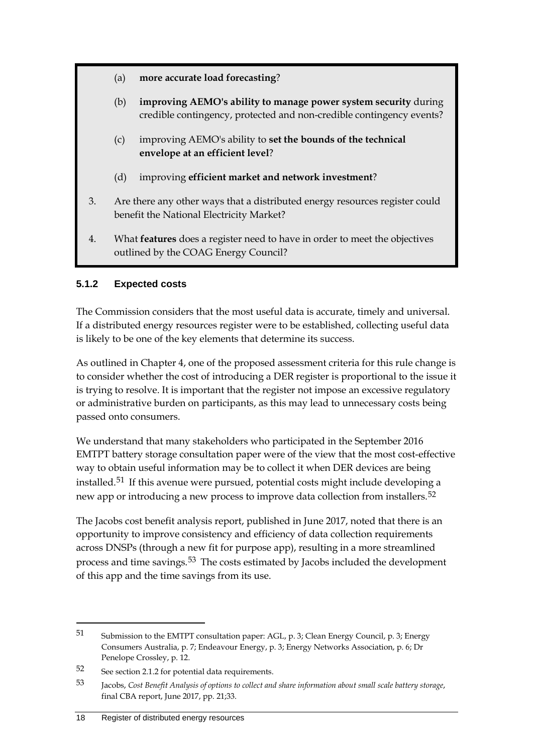- (a) **more accurate load forecasting**?
- (b) **improving AEMO's ability to manage power system security** during credible contingency, protected and non-credible contingency events?
- (c) improving AEMO's ability to **set the bounds of the technical envelope at an efficient level**?
- (d) improving **efficient market and network investment**?
- 3. Are there any other ways that a distributed energy resources register could benefit the National Electricity Market?
- 4. What **features** does a register need to have in order to meet the objectives outlined by the COAG Energy Council?

### **5.1.2 Expected costs**

The Commission considers that the most useful data is accurate, timely and universal. If a distributed energy resources register were to be established, collecting useful data is likely to be one of the key elements that determine its success.

As outlined in Chapter [4,](#page-14-0) one of the proposed assessment criteria for this rule change is to consider whether the cost of introducing a DER register is proportional to the issue it is trying to resolve. It is important that the register not impose an excessive regulatory or administrative burden on participants, as this may lead to unnecessary costs being passed onto consumers.

We understand that many stakeholders who participated in the September 2016 EMTPT battery storage consultation paper were of the view that the most cost-effective way to obtain useful information may be to collect it when DER devices are being installed.[51](#page-21-0) If this avenue were pursued, potential costs might include developing a new app or introducing a new process to improve data collection from installers.<sup>[52](#page-21-1)</sup>

The Jacobs cost benefit analysis report, published in June 2017, noted that there is an opportunity to improve consistency and efficiency of data collection requirements across DNSPs (through a new fit for purpose app), resulting in a more streamlined process and time savings.<sup>[53](#page-21-2)</sup> The costs estimated by Jacobs included the development of this app and the time savings from its use.

<span id="page-21-0"></span><sup>51</sup> Submission to the EMTPT consultation paper: AGL, p. 3; Clean Energy Council, p. 3; Energy Consumers Australia, p. 7; Endeavour Energy, p. 3; Energy Networks Association, p. 6; Dr Penelope Crossley, p. 12.

<span id="page-21-1"></span><sup>52</sup> See section 2.1.2 for potential data requirements.

<span id="page-21-2"></span><sup>53</sup> Jacobs, *Cost Benefit Analysis of options to collect and share information about small scale battery storage*, final CBA report, June 2017, pp. 21;33.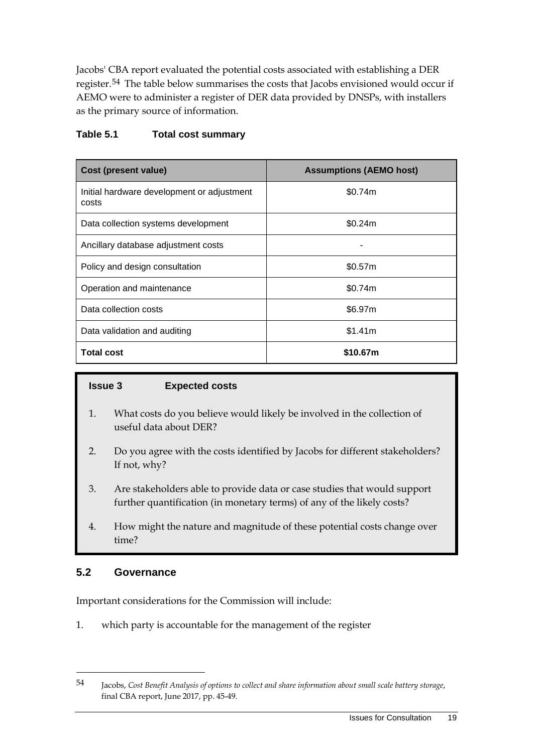Jacobs' CBA report evaluated the potential costs associated with establishing a DER register.[54](#page-22-1) The table below summarises the costs that Jacobs envisioned would occur if AEMO were to administer a register of DER data provided by DNSPs, with installers as the primary source of information.

#### **Table 5.1 Total cost summary**

| <b>Cost (present value)</b>                         | <b>Assumptions (AEMO host)</b> |  |  |
|-----------------------------------------------------|--------------------------------|--|--|
| Initial hardware development or adjustment<br>costs | \$0.74m                        |  |  |
| Data collection systems development                 | \$0.24m                        |  |  |
| Ancillary database adjustment costs                 |                                |  |  |
| Policy and design consultation                      | \$0.57m                        |  |  |
| Operation and maintenance                           | \$0.74m                        |  |  |
| Data collection costs                               | \$6.97m                        |  |  |
| Data validation and auditing                        | \$1.41m                        |  |  |
| <b>Total cost</b>                                   | \$10.67m                       |  |  |

#### **Issue 3 Expected costs**

- 1. What costs do you believe would likely be involved in the collection of useful data about DER?
- 2. Do you agree with the costs identified by Jacobs for different stakeholders? If not, why?
- 3. Are stakeholders able to provide data or case studies that would support further quantification (in monetary terms) of any of the likely costs?
- 4. How might the nature and magnitude of these potential costs change over time?

### <span id="page-22-0"></span>**5.2 Governance**

-

Important considerations for the Commission will include:

1. which party is accountable for the management of the register

<span id="page-22-1"></span><sup>54</sup> Jacobs, *Cost Benefit Analysis of options to collect and share information about small scale battery storage*, final CBA report, June 2017, pp. 45-49.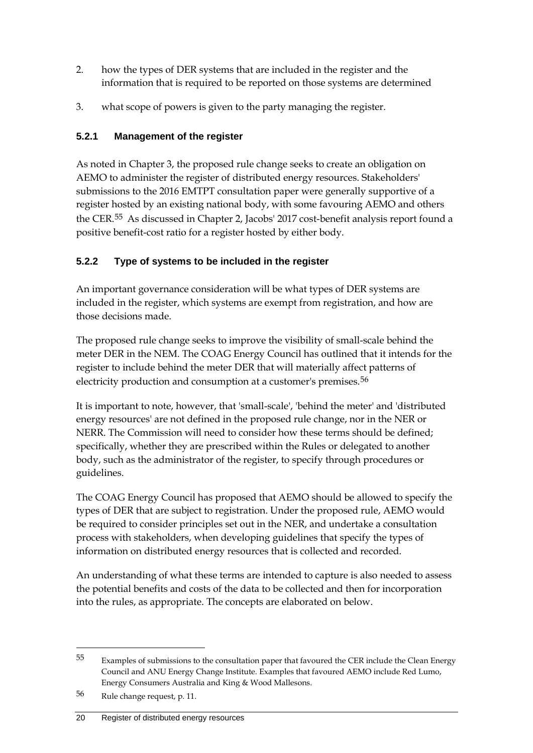- 2. how the types of DER systems that are included in the register and the information that is required to be reported on those systems are determined
- 3. what scope of powers is given to the party managing the register.

### **5.2.1 Management of the register**

As noted in Chapter 3, the proposed rule change seeks to create an obligation on AEMO to administer the register of distributed energy resources. Stakeholders' submissions to the 2016 EMTPT consultation paper were generally supportive of a register hosted by an existing national body, with some favouring AEMO and others the CER.[55](#page-23-0) As discussed in Chapter [2,](#page-5-0) Jacobs' 2017 cost-benefit analysis report found a positive benefit-cost ratio for a register hosted by either body.

## **5.2.2 Type of systems to be included in the register**

An important governance consideration will be what types of DER systems are included in the register, which systems are exempt from registration, and how are those decisions made.

The proposed rule change seeks to improve the visibility of small-scale behind the meter DER in the NEM. The COAG Energy Council has outlined that it intends for the register to include behind the meter DER that will materially affect patterns of electricity production and consumption at a customer's premises.<sup>[56](#page-23-1)</sup>

It is important to note, however, that 'small-scale', 'behind the meter' and 'distributed energy resources' are not defined in the proposed rule change, nor in the NER or NERR. The Commission will need to consider how these terms should be defined; specifically, whether they are prescribed within the Rules or delegated to another body, such as the administrator of the register, to specify through procedures or guidelines.

The COAG Energy Council has proposed that AEMO should be allowed to specify the types of DER that are subject to registration. Under the proposed rule, AEMO would be required to consider principles set out in the NER, and undertake a consultation process with stakeholders, when developing guidelines that specify the types of information on distributed energy resources that is collected and recorded.

An understanding of what these terms are intended to capture is also needed to assess the potential benefits and costs of the data to be collected and then for incorporation into the rules, as appropriate. The concepts are elaborated on below.

<span id="page-23-0"></span><sup>55</sup> Examples of submissions to the consultation paper that favoured the CER include the Clean Energy Council and ANU Energy Change Institute. Examples that favoured AEMO include Red Lumo, Energy Consumers Australia and King & Wood Mallesons.

<span id="page-23-1"></span><sup>56</sup> Rule change request, p. 11.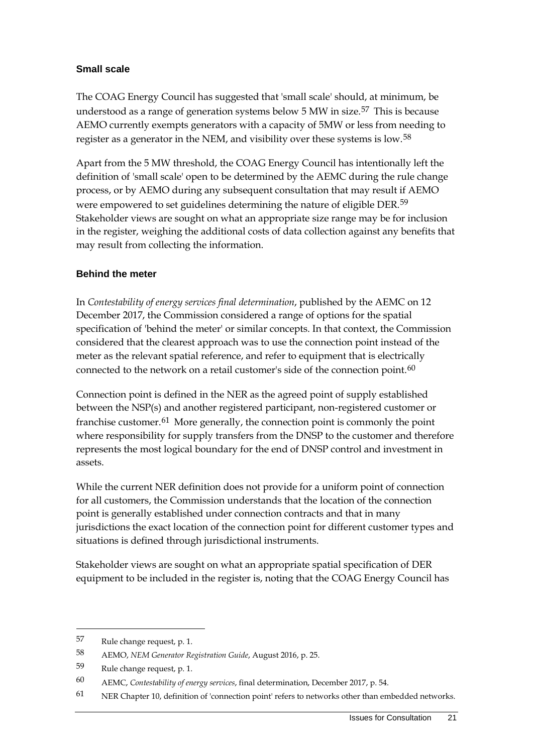#### **Small scale**

The COAG Energy Council has suggested that 'small scale' should, at minimum, be understood as a range of generation systems below  $5 \text{ MW}$  in size.<sup>[57](#page-24-0)</sup> This is because AEMO currently exempts generators with a capacity of 5MW or less from needing to register as a generator in the NEM, and visibility over these systems is low.<sup>[58](#page-24-1)</sup>

Apart from the 5 MW threshold, the COAG Energy Council has intentionally left the definition of 'small scale' open to be determined by the AEMC during the rule change process, or by AEMO during any subsequent consultation that may result if AEMO were empowered to set guidelines determining the nature of eligible DER.<sup>[59](#page-24-2)</sup> Stakeholder views are sought on what an appropriate size range may be for inclusion in the register, weighing the additional costs of data collection against any benefits that may result from collecting the information.

#### **Behind the meter**

In *Contestability of energy services final determination*, published by the AEMC on 12 December 2017, the Commission considered a range of options for the spatial specification of 'behind the meter' or similar concepts. In that context, the Commission considered that the clearest approach was to use the connection point instead of the meter as the relevant spatial reference, and refer to equipment that is electrically connected to the network on a retail customer's side of the connection point.<sup>[60](#page-24-3)</sup>

Connection point is defined in the NER as the agreed point of supply established between the NSP(s) and another registered participant, non-registered customer or franchise customer.<sup>[61](#page-24-4)</sup> More generally, the connection point is commonly the point where responsibility for supply transfers from the DNSP to the customer and therefore represents the most logical boundary for the end of DNSP control and investment in assets.

While the current NER definition does not provide for a uniform point of connection for all customers, the Commission understands that the location of the connection point is generally established under connection contracts and that in many jurisdictions the exact location of the connection point for different customer types and situations is defined through jurisdictional instruments.

Stakeholder views are sought on what an appropriate spatial specification of DER equipment to be included in the register is, noting that the COAG Energy Council has

<span id="page-24-0"></span><sup>57</sup> Rule change request, p. 1.

<span id="page-24-1"></span><sup>58</sup> AEMO, *NEM Generator Registration Guide*, August 2016, p. 25.

<span id="page-24-2"></span><sup>59</sup> Rule change request, p. 1.

<span id="page-24-3"></span><sup>60</sup> AEMC, *Contestability of energy services*, final determination, December 2017, p. 54.

<span id="page-24-4"></span><sup>61</sup> NER Chapter 10, definition of 'connection point' refers to networks other than embedded networks.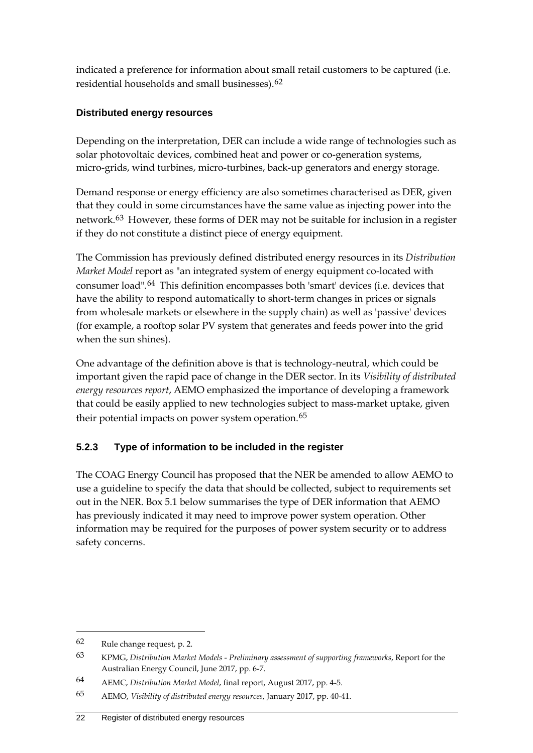indicated a preference for information about small retail customers to be captured (i.e. residential households and small businesses).[62](#page-25-0)

### **Distributed energy resources**

Depending on the interpretation, DER can include a wide range of technologies such as solar photovoltaic devices, combined heat and power or co-generation systems, micro-grids, wind turbines, micro-turbines, back-up generators and energy storage.

Demand response or energy efficiency are also sometimes characterised as DER, given that they could in some circumstances have the same value as injecting power into the network.<sup>[63](#page-25-1)</sup> However, these forms of DER may not be suitable for inclusion in a register if they do not constitute a distinct piece of energy equipment.

The Commission has previously defined distributed energy resources in its *Distribution Market Model* report as "an integrated system of energy equipment co-located with consumer load".[64](#page-25-2) This definition encompasses both 'smart' devices (i.e. devices that have the ability to respond automatically to short-term changes in prices or signals from wholesale markets or elsewhere in the supply chain) as well as 'passive' devices (for example, a rooftop solar PV system that generates and feeds power into the grid when the sun shines).

One advantage of the definition above is that is technology-neutral, which could be important given the rapid pace of change in the DER sector. In its *Visibility of distributed energy resources report*, AEMO emphasized the importance of developing a framework that could be easily applied to new technologies subject to mass-market uptake, given their potential impacts on power system operation.<sup>[65](#page-25-3)</sup>

### **5.2.3 Type of information to be included in the register**

The COAG Energy Council has proposed that the NER be amended to allow AEMO to use a guideline to specify the data that should be collected, subject to requirements set out in the NER. Box 5.1 below summarises the type of DER information that AEMO has previously indicated it may need to improve power system operation. Other information may be required for the purposes of power system security or to address safety concerns.

<span id="page-25-0"></span><sup>62</sup> Rule change request, p. 2.

<span id="page-25-1"></span><sup>63</sup> KPMG, *Distribution Market Models - Preliminary assessment of supporting frameworks*, Report for the Australian Energy Council, June 2017, pp. 6-7.

<span id="page-25-2"></span><sup>64</sup> AEMC, *Distribution Market Model*, final report, August 2017, pp. 4-5.

<span id="page-25-3"></span><sup>65</sup> AEMO, *Visibility of distributed energy resources*, January 2017, pp. 40-41.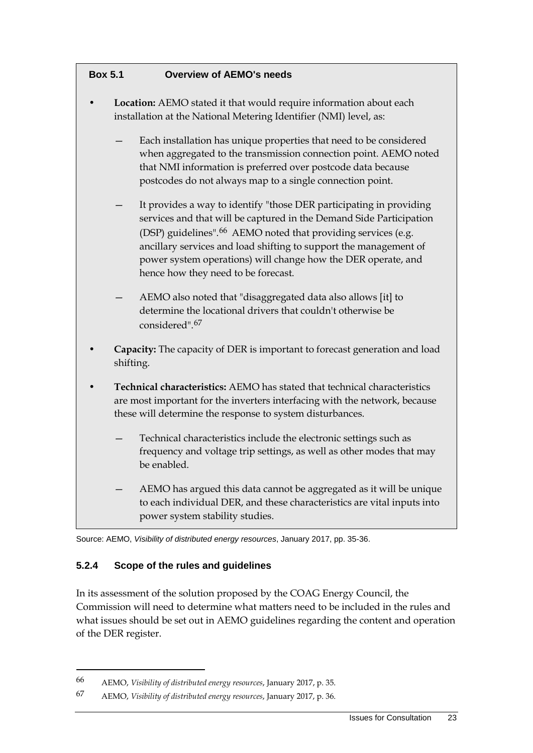| <b>Overview of AEMO's needs</b><br><b>Box 5.1</b> |  |
|---------------------------------------------------|--|
|---------------------------------------------------|--|

- **Location:** AEMO stated it that would require information about each installation at the National Metering Identifier (NMI) level, as:
	- Each installation has unique properties that need to be considered when aggregated to the transmission connection point. AEMO noted that NMI information is preferred over postcode data because postcodes do not always map to a single connection point.
	- It provides a way to identify "those DER participating in providing services and that will be captured in the Demand Side Participation (DSP) guidelines".<sup>[66](#page-26-0)</sup> AEMO noted that providing services (e.g. ancillary services and load shifting to support the management of power system operations) will change how the DER operate, and hence how they need to be forecast.
	- AEMO also noted that "disaggregated data also allows [it] to determine the locational drivers that couldn't otherwise be considered".[67](#page-26-1)
- **Capacity:** The capacity of DER is important to forecast generation and load shifting.
- **Technical characteristics:** AEMO has stated that technical characteristics are most important for the inverters interfacing with the network, because these will determine the response to system disturbances.
	- Technical characteristics include the electronic settings such as frequency and voltage trip settings, as well as other modes that may be enabled.
	- AEMO has argued this data cannot be aggregated as it will be unique to each individual DER, and these characteristics are vital inputs into power system stability studies.

Source: AEMO, *Visibility of distributed energy resources*, January 2017, pp. 35-36.

### **5.2.4 Scope of the rules and guidelines**

-

In its assessment of the solution proposed by the COAG Energy Council, the Commission will need to determine what matters need to be included in the rules and what issues should be set out in AEMO guidelines regarding the content and operation of the DER register.

<span id="page-26-0"></span><sup>66</sup> AEMO, *Visibility of distributed energy resources*, January 2017, p. 35.

<span id="page-26-1"></span><sup>67</sup> AEMO, *Visibility of distributed energy resources*, January 2017, p. 36.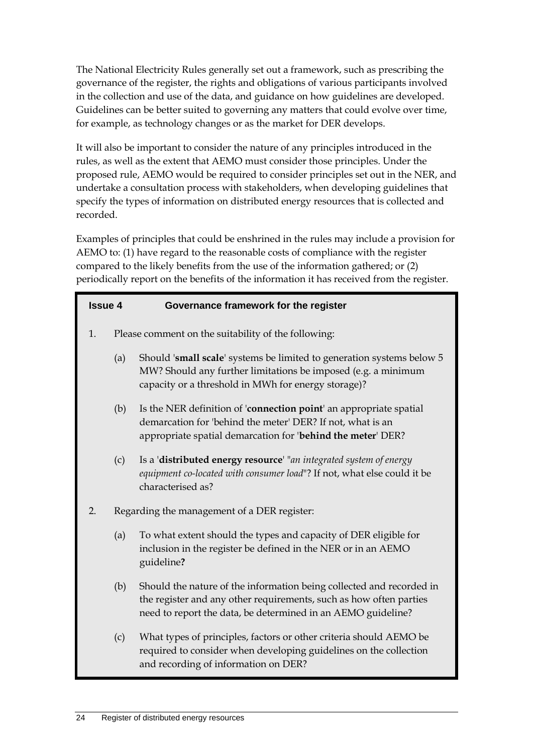The National Electricity Rules generally set out a framework, such as prescribing the governance of the register, the rights and obligations of various participants involved in the collection and use of the data, and guidance on how guidelines are developed. Guidelines can be better suited to governing any matters that could evolve over time, for example, as technology changes or as the market for DER develops.

It will also be important to consider the nature of any principles introduced in the rules, as well as the extent that AEMO must consider those principles. Under the proposed rule, AEMO would be required to consider principles set out in the NER, and undertake a consultation process with stakeholders, when developing guidelines that specify the types of information on distributed energy resources that is collected and recorded.

Examples of principles that could be enshrined in the rules may include a provision for AEMO to: (1) have regard to the reasonable costs of compliance with the register compared to the likely benefits from the use of the information gathered; or (2) periodically report on the benefits of the information it has received from the register.

| <b>Issue 4</b> |     | Governance framework for the register                                                                                                                                                                      |  |  |
|----------------|-----|------------------------------------------------------------------------------------------------------------------------------------------------------------------------------------------------------------|--|--|
| 1.             |     | Please comment on the suitability of the following:                                                                                                                                                        |  |  |
|                | (a) | Should 'small scale' systems be limited to generation systems below 5<br>MW? Should any further limitations be imposed (e.g. a minimum<br>capacity or a threshold in MWh for energy storage)?              |  |  |
|                | (b) | Is the NER definition of 'connection point' an appropriate spatial<br>demarcation for 'behind the meter' DER? If not, what is an<br>appropriate spatial demarcation for 'behind the meter' DER?            |  |  |
|                | (c) | Is a 'distributed energy resource' "an integrated system of energy<br>equipment co-located with consumer load"? If not, what else could it be<br>characterised as?                                         |  |  |
| 2.             |     | Regarding the management of a DER register:                                                                                                                                                                |  |  |
|                | (a) | To what extent should the types and capacity of DER eligible for<br>inclusion in the register be defined in the NER or in an AEMO<br>guideline?                                                            |  |  |
|                | (b) | Should the nature of the information being collected and recorded in<br>the register and any other requirements, such as how often parties<br>need to report the data, be determined in an AEMO guideline? |  |  |
|                | (c) | What types of principles, factors or other criteria should AEMO be<br>required to consider when developing guidelines on the collection<br>and recording of information on DER?                            |  |  |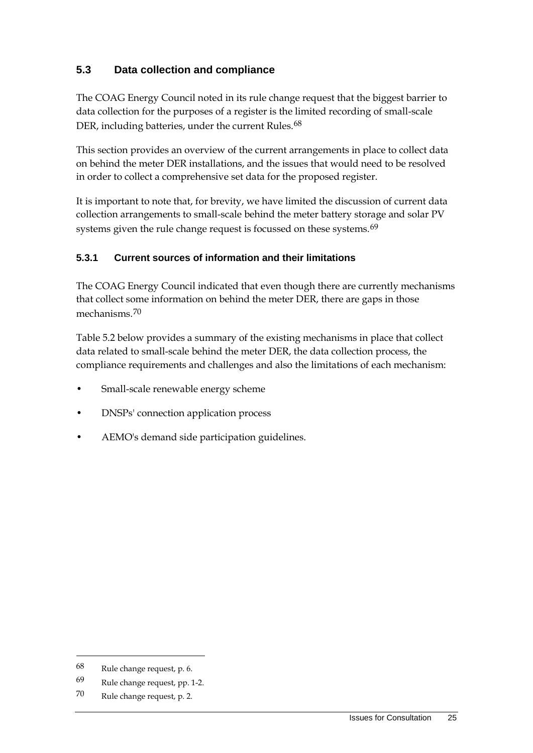### <span id="page-28-0"></span>**5.3 Data collection and compliance**

The COAG Energy Council noted in its rule change request that the biggest barrier to data collection for the purposes of a register is the limited recording of small-scale DER, including batteries, under the current Rules.<sup>[68](#page-28-1)</sup>

This section provides an overview of the current arrangements in place to collect data on behind the meter DER installations, and the issues that would need to be resolved in order to collect a comprehensive set data for the proposed register.

It is important to note that, for brevity, we have limited the discussion of current data collection arrangements to small-scale behind the meter battery storage and solar PV systems given the rule change request is focussed on these systems.<sup>[69](#page-28-2)</sup>

### **5.3.1 Current sources of information and their limitations**

The COAG Energy Council indicated that even though there are currently mechanisms that collect some information on behind the meter DER, there are gaps in those mechanisms.<sup>[70](#page-28-3)</sup>

Table 5.2 below provides a summary of the existing mechanisms in place that collect data related to small-scale behind the meter DER, the data collection process, the compliance requirements and challenges and also the limitations of each mechanism:

- Small-scale renewable energy scheme
- DNSPs' connection application process
- AEMO's demand side participation guidelines.

<span id="page-28-1"></span><sup>68</sup> Rule change request, p. 6.

<span id="page-28-2"></span><sup>69</sup> Rule change request, pp. 1-2.

<span id="page-28-3"></span><sup>70</sup> Rule change request, p. 2.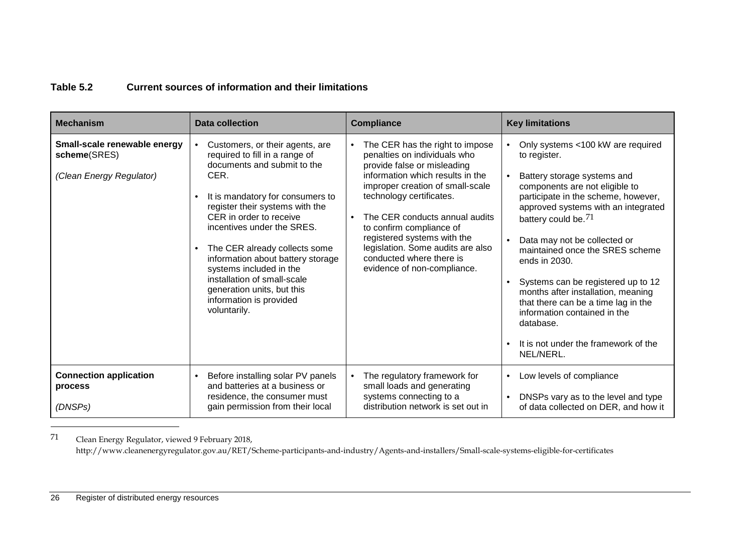### <span id="page-29-0"></span>**Table 5.2 Current sources of information and their limitations**

| <b>Mechanism</b>                                                         | <b>Data collection</b>                                                                                                                                                                                                                                                                                                                                                                                                                                                      | <b>Compliance</b>                                                                                                                                                                                                                                                                                                                                                                               | <b>Key limitations</b>                                                                                                                                                                                                                                                                                                                                                                                                                                                                                                                       |
|--------------------------------------------------------------------------|-----------------------------------------------------------------------------------------------------------------------------------------------------------------------------------------------------------------------------------------------------------------------------------------------------------------------------------------------------------------------------------------------------------------------------------------------------------------------------|-------------------------------------------------------------------------------------------------------------------------------------------------------------------------------------------------------------------------------------------------------------------------------------------------------------------------------------------------------------------------------------------------|----------------------------------------------------------------------------------------------------------------------------------------------------------------------------------------------------------------------------------------------------------------------------------------------------------------------------------------------------------------------------------------------------------------------------------------------------------------------------------------------------------------------------------------------|
| Small-scale renewable energy<br>scheme(SRES)<br>(Clean Energy Regulator) | Customers, or their agents, are<br>required to fill in a range of<br>documents and submit to the<br>CER.<br>It is mandatory for consumers to<br>$\bullet$<br>register their systems with the<br>CER in order to receive<br>incentives under the SRES.<br>The CER already collects some<br>$\bullet$<br>information about battery storage<br>systems included in the<br>installation of small-scale<br>generation units, but this<br>information is provided<br>voluntarily. | The CER has the right to impose<br>penalties on individuals who<br>provide false or misleading<br>information which results in the<br>improper creation of small-scale<br>technology certificates.<br>The CER conducts annual audits<br>to confirm compliance of<br>registered systems with the<br>legislation. Some audits are also<br>conducted where there is<br>evidence of non-compliance. | Only systems <100 kW are required<br>to register.<br>Battery storage systems and<br>components are not eligible to<br>participate in the scheme, however,<br>approved systems with an integrated<br>battery could be. <sup>71</sup><br>Data may not be collected or<br>maintained once the SRES scheme<br>ends in 2030.<br>Systems can be registered up to 12<br>months after installation, meaning<br>that there can be a time lag in the<br>information contained in the<br>database.<br>It is not under the framework of the<br>NEL/NERL. |
| <b>Connection application</b><br>process<br>(DNSPs)                      | Before installing solar PV panels<br>$\bullet$<br>and batteries at a business or<br>residence, the consumer must<br>gain permission from their local                                                                                                                                                                                                                                                                                                                        | The regulatory framework for<br>$\bullet$<br>small loads and generating<br>systems connecting to a<br>distribution network is set out in                                                                                                                                                                                                                                                        | Low levels of compliance<br>$\bullet$<br>DNSPs vary as to the level and type<br>of data collected on DER, and how it                                                                                                                                                                                                                                                                                                                                                                                                                         |

 $71\,$ Clean Energy Regulator, viewed 9 February 2018,

http://www.cleanenergyregulator.gov.au/RET/Scheme-participants-and-industry/Agents-and-installers/Small-scale-systems-eligible-for-certificates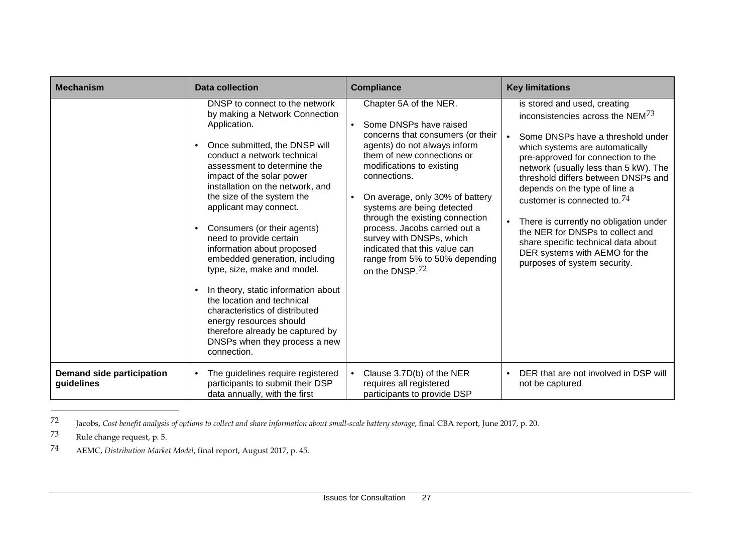<span id="page-30-2"></span><span id="page-30-1"></span><span id="page-30-0"></span>

| <b>Mechanism</b>                               | <b>Data collection</b>                                                                                                                                                                                                                                                                                                                                                                                                                                                                                                                                                                                                                                                                                                 | <b>Compliance</b>                                                                                                                                                                                                                                                                                                                                                                                                                                                                            | <b>Key limitations</b>                                                                                                                                                                                                                                                                                                                                                                                                                                                                                                                             |
|------------------------------------------------|------------------------------------------------------------------------------------------------------------------------------------------------------------------------------------------------------------------------------------------------------------------------------------------------------------------------------------------------------------------------------------------------------------------------------------------------------------------------------------------------------------------------------------------------------------------------------------------------------------------------------------------------------------------------------------------------------------------------|----------------------------------------------------------------------------------------------------------------------------------------------------------------------------------------------------------------------------------------------------------------------------------------------------------------------------------------------------------------------------------------------------------------------------------------------------------------------------------------------|----------------------------------------------------------------------------------------------------------------------------------------------------------------------------------------------------------------------------------------------------------------------------------------------------------------------------------------------------------------------------------------------------------------------------------------------------------------------------------------------------------------------------------------------------|
|                                                | DNSP to connect to the network<br>by making a Network Connection<br>Application.<br>Once submitted, the DNSP will<br>$\bullet$<br>conduct a network technical<br>assessment to determine the<br>impact of the solar power<br>installation on the network, and<br>the size of the system the<br>applicant may connect.<br>Consumers (or their agents)<br>٠<br>need to provide certain<br>information about proposed<br>embedded generation, including<br>type, size, make and model.<br>In theory, static information about<br>$\bullet$<br>the location and technical<br>characteristics of distributed<br>energy resources should<br>therefore already be captured by<br>DNSPs when they process a new<br>connection. | Chapter 5A of the NER.<br>Some DNSPs have raised<br>$\bullet$<br>concerns that consumers (or their<br>agents) do not always inform<br>them of new connections or<br>modifications to existing<br>connections.<br>On average, only 30% of battery<br>$\bullet$<br>systems are being detected<br>through the existing connection<br>process. Jacobs carried out a<br>survey with DNSPs, which<br>indicated that this value can<br>range from 5% to 50% depending<br>on the DNSP. <sup>72</sup> | is stored and used, creating<br>inconsistencies across the $NEM^{73}$<br>Some DNSPs have a threshold under<br>which systems are automatically<br>pre-approved for connection to the<br>network (usually less than 5 kW). The<br>threshold differs between DNSPs and<br>depends on the type of line a<br>customer is connected to. <sup>74</sup><br>There is currently no obligation under<br>$\bullet$<br>the NER for DNSPs to collect and<br>share specific technical data about<br>DER systems with AEMO for the<br>purposes of system security. |
| <b>Demand side participation</b><br>guidelines | The guidelines require registered<br>$\bullet$<br>participants to submit their DSP<br>data annually, with the first                                                                                                                                                                                                                                                                                                                                                                                                                                                                                                                                                                                                    | Clause 3.7D(b) of the NER<br>$\bullet$<br>requires all registered<br>participants to provide DSP                                                                                                                                                                                                                                                                                                                                                                                             | DER that are not involved in DSP will<br>$\bullet$<br>not be captured                                                                                                                                                                                                                                                                                                                                                                                                                                                                              |

72 Jacobs, *Cost benefit analysis of options to collect and share information about small-scale battery storage*, final CBA report, June 2017, p. 20.

Rule change request, p. 5.

-

74 AEMC, *Distribution Market Model*, final report, August 2017, p. 45.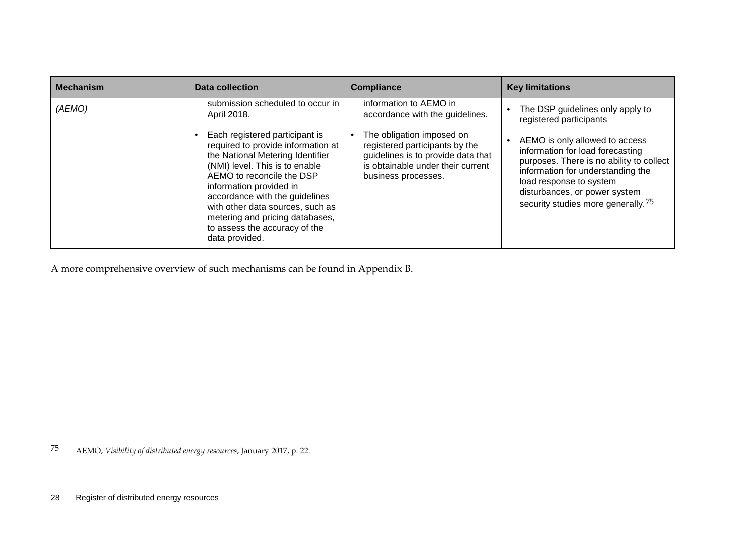<span id="page-31-0"></span>

| <b>Mechanism</b> | Data collection                                                                                                                                                                                                                                                                                                                                                | <b>Compliance</b>                                                                                                                                             | <b>Key limitations</b>                                                                                                                                                                                                                                            |
|------------------|----------------------------------------------------------------------------------------------------------------------------------------------------------------------------------------------------------------------------------------------------------------------------------------------------------------------------------------------------------------|---------------------------------------------------------------------------------------------------------------------------------------------------------------|-------------------------------------------------------------------------------------------------------------------------------------------------------------------------------------------------------------------------------------------------------------------|
| (AEMO)           | submission scheduled to occur in<br>April 2018.                                                                                                                                                                                                                                                                                                                | information to AEMO in<br>accordance with the guidelines.                                                                                                     | The DSP guidelines only apply to<br>registered participants                                                                                                                                                                                                       |
|                  | Each registered participant is<br>required to provide information at<br>the National Metering Identifier<br>(NMI) level. This is to enable<br>AEMO to reconcile the DSP<br>information provided in<br>accordance with the guidelines<br>with other data sources, such as<br>metering and pricing databases,<br>to assess the accuracy of the<br>data provided. | The obligation imposed on<br>registered participants by the<br>guidelines is to provide data that<br>is obtainable under their current<br>business processes. | AEMO is only allowed to access<br>information for load forecasting<br>purposes. There is no ability to collect<br>information for understanding the<br>load response to system<br>disturbances, or power system<br>security studies more generally. <sup>75</sup> |

A more comprehensive overview of such mechanisms can be found in Appendix [B.](#page-48-2)

<sup>75</sup> AEMO, *Visibility of distributed energy resources*, January 2017, p. 22.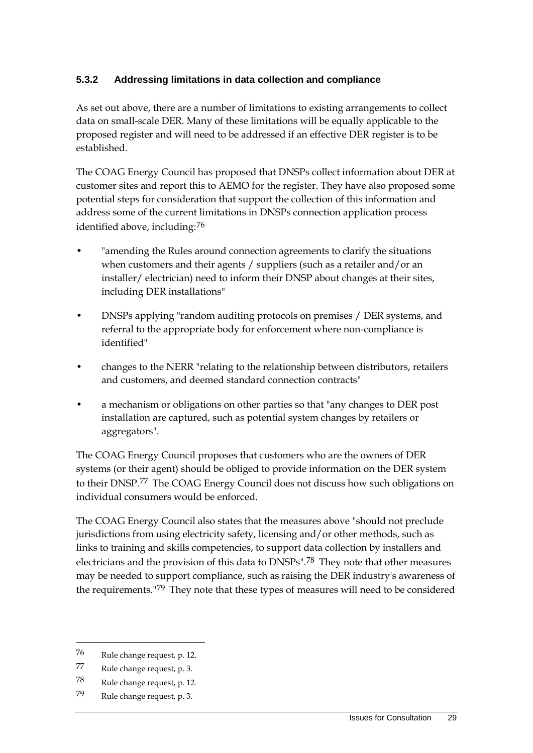### **5.3.2 Addressing limitations in data collection and compliance**

As set out above, there are a number of limitations to existing arrangements to collect data on small-scale DER. Many of these limitations will be equally applicable to the proposed register and will need to be addressed if an effective DER register is to be established.

The COAG Energy Council has proposed that DNSPs collect information about DER at customer sites and report this to AEMO for the register. They have also proposed some potential steps for consideration that support the collection of this information and address some of the current limitations in DNSPs connection application process identified above, including:[76](#page-32-0)

- "amending the Rules around connection agreements to clarify the situations when customers and their agents / suppliers (such as a retailer and/or an installer/ electrician) need to inform their DNSP about changes at their sites, including DER installations"
- DNSPs applying "random auditing protocols on premises / DER systems, and referral to the appropriate body for enforcement where non-compliance is identified"
- changes to the NERR "relating to the relationship between distributors, retailers and customers, and deemed standard connection contracts"
- a mechanism or obligations on other parties so that "any changes to DER post installation are captured, such as potential system changes by retailers or aggregators".

The COAG Energy Council proposes that customers who are the owners of DER systems (or their agent) should be obliged to provide information on the DER system to their DNSP.[77](#page-32-1) The COAG Energy Council does not discuss how such obligations on individual consumers would be enforced.

The COAG Energy Council also states that the measures above "should not preclude jurisdictions from using electricity safety, licensing and/or other methods, such as links to training and skills competencies, to support data collection by installers and electricians and the provision of this data to DNSPs".[78](#page-32-2) They note that other measures may be needed to support compliance, such as raising the DER industry's awareness of the requirements."<sup>[79](#page-32-3)</sup> They note that these types of measures will need to be considered

<span id="page-32-0"></span><sup>76</sup> Rule change request, p. 12.

<span id="page-32-1"></span><sup>77</sup> Rule change request, p. 3.

<span id="page-32-2"></span><sup>78</sup> Rule change request, p. 12.

<span id="page-32-3"></span><sup>79</sup> Rule change request, p. 3.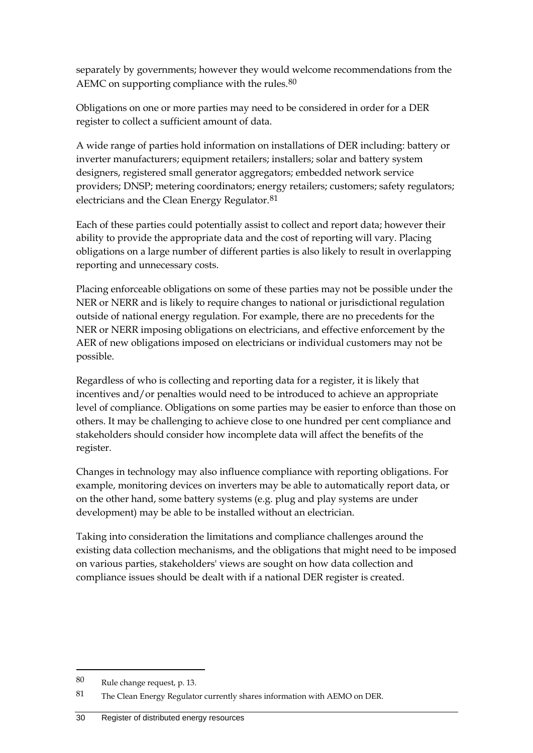separately by governments; however they would welcome recommendations from the AEMC on supporting compliance with the rules.<sup>[80](#page-33-0)</sup>

Obligations on one or more parties may need to be considered in order for a DER register to collect a sufficient amount of data.

A wide range of parties hold information on installations of DER including: battery or inverter manufacturers; equipment retailers; installers; solar and battery system designers, registered small generator aggregators; embedded network service providers; DNSP; metering coordinators; energy retailers; customers; safety regulators; electricians and the Clean Energy Regulator.<sup>[81](#page-33-1)</sup>

Each of these parties could potentially assist to collect and report data; however their ability to provide the appropriate data and the cost of reporting will vary. Placing obligations on a large number of different parties is also likely to result in overlapping reporting and unnecessary costs.

Placing enforceable obligations on some of these parties may not be possible under the NER or NERR and is likely to require changes to national or jurisdictional regulation outside of national energy regulation. For example, there are no precedents for the NER or NERR imposing obligations on electricians, and effective enforcement by the AER of new obligations imposed on electricians or individual customers may not be possible.

Regardless of who is collecting and reporting data for a register, it is likely that incentives and/or penalties would need to be introduced to achieve an appropriate level of compliance. Obligations on some parties may be easier to enforce than those on others. It may be challenging to achieve close to one hundred per cent compliance and stakeholders should consider how incomplete data will affect the benefits of the register.

Changes in technology may also influence compliance with reporting obligations. For example, monitoring devices on inverters may be able to automatically report data, or on the other hand, some battery systems (e.g. plug and play systems are under development) may be able to be installed without an electrician.

Taking into consideration the limitations and compliance challenges around the existing data collection mechanisms, and the obligations that might need to be imposed on various parties, stakeholders' views are sought on how data collection and compliance issues should be dealt with if a national DER register is created.

<span id="page-33-0"></span><sup>80</sup> Rule change request, p. 13.

<span id="page-33-1"></span><sup>81</sup> The Clean Energy Regulator currently shares information with AEMO on DER.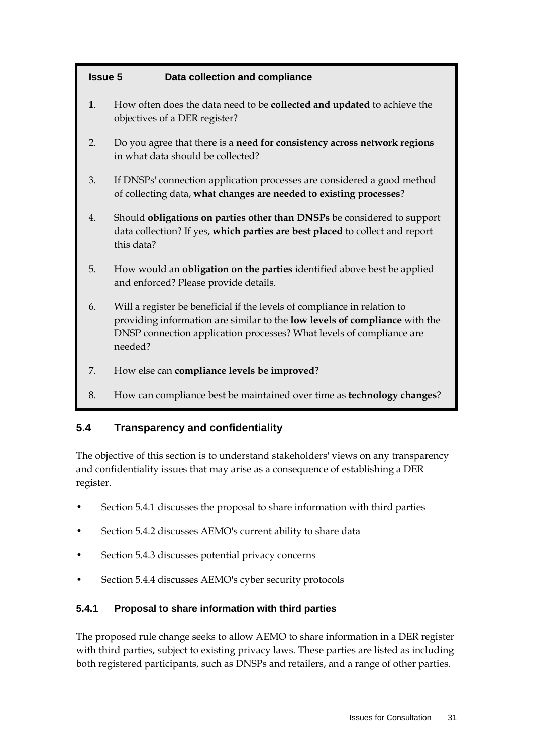### **Issue 5 Data collection and compliance**

- **1**. How often does the data need to be **collected and updated** to achieve the objectives of a DER register?
- 2. Do you agree that there is a **need for consistency across network regions** in what data should be collected?
- 3. If DNSPs' connection application processes are considered a good method of collecting data, **what changes are needed to existing processes**?
- 4. Should **obligations on parties other than DNSPs** be considered to support data collection? If yes, **which parties are best placed** to collect and report this data?
- 5. How would an **obligation on the parties** identified above best be applied and enforced? Please provide details.
- 6. Will a register be beneficial if the levels of compliance in relation to providing information are similar to the **low levels of compliance** with the DNSP connection application processes? What levels of compliance are needed?
- 7. How else can **compliance levels be improved**?
- 8. How can compliance best be maintained over time as **technology changes**?

### <span id="page-34-0"></span>**5.4 Transparency and confidentiality**

The objective of this section is to understand stakeholders' views on any transparency and confidentiality issues that may arise as a consequence of establishing a DER register.

- Section 5.4.1 discusses the proposal to share information with third parties
- Section 5.4.2 discusses AEMO's current ability to share data
- Section 5.4.3 discusses potential privacy concerns
- Section 5.4.4 discusses AEMO's cyber security protocols

### **5.4.1 Proposal to share information with third parties**

The proposed rule change seeks to allow AEMO to share information in a DER register with third parties, subject to existing privacy laws. These parties are listed as including both registered participants, such as DNSPs and retailers, and a range of other parties.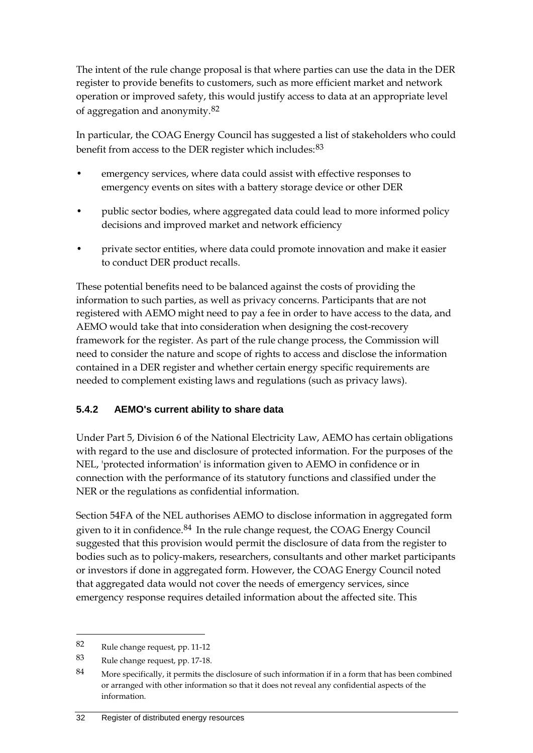The intent of the rule change proposal is that where parties can use the data in the DER register to provide benefits to customers, such as more efficient market and network operation or improved safety, this would justify access to data at an appropriate level of aggregation and anonymity.[82](#page-35-0)

In particular, the COAG Energy Council has suggested a list of stakeholders who could benefit from access to the DER register which includes:  $83$ 

- emergency services, where data could assist with effective responses to emergency events on sites with a battery storage device or other DER
- public sector bodies, where aggregated data could lead to more informed policy decisions and improved market and network efficiency
- private sector entities, where data could promote innovation and make it easier to conduct DER product recalls.

These potential benefits need to be balanced against the costs of providing the information to such parties, as well as privacy concerns. Participants that are not registered with AEMO might need to pay a fee in order to have access to the data, and AEMO would take that into consideration when designing the cost-recovery framework for the register. As part of the rule change process, the Commission will need to consider the nature and scope of rights to access and disclose the information contained in a DER register and whether certain energy specific requirements are needed to complement existing laws and regulations (such as privacy laws).

### **5.4.2 AEMO's current ability to share data**

Under Part 5, Division 6 of the National Electricity Law, AEMO has certain obligations with regard to the use and disclosure of protected information. For the purposes of the NEL, 'protected information' is information given to AEMO in confidence or in connection with the performance of its statutory functions and classified under the NER or the regulations as confidential information.

Section 54FA of the NEL authorises AEMO to disclose information in aggregated form given to it in confidence.<sup>[84](#page-35-2)</sup> In the rule change request, the COAG Energy Council suggested that this provision would permit the disclosure of data from the register to bodies such as to policy-makers, researchers, consultants and other market participants or investors if done in aggregated form. However, the COAG Energy Council noted that aggregated data would not cover the needs of emergency services, since emergency response requires detailed information about the affected site. This

<span id="page-35-0"></span><sup>82</sup> Rule change request, pp. 11-12

<span id="page-35-1"></span><sup>83</sup> Rule change request, pp. 17-18.

<span id="page-35-2"></span><sup>84</sup> More specifically, it permits the disclosure of such information if in a form that has been combined or arranged with other information so that it does not reveal any confidential aspects of the information.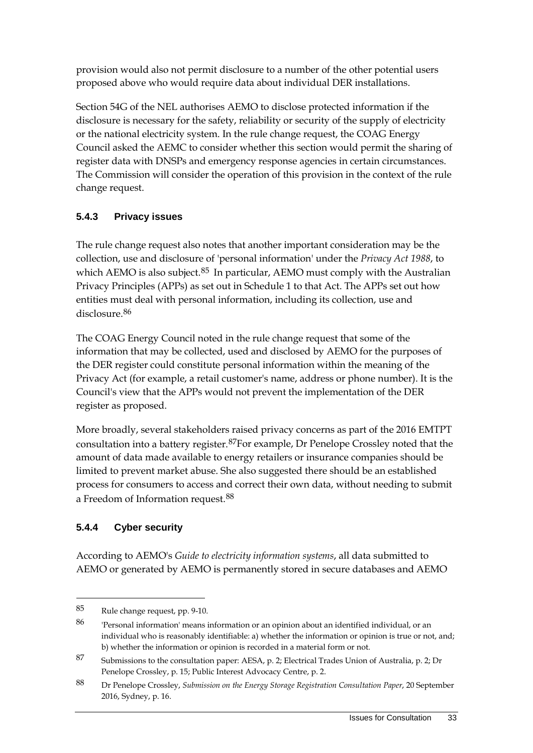provision would also not permit disclosure to a number of the other potential users proposed above who would require data about individual DER installations.

Section 54G of the NEL authorises AEMO to disclose protected information if the disclosure is necessary for the safety, reliability or security of the supply of electricity or the national electricity system. In the rule change request, the COAG Energy Council asked the AEMC to consider whether this section would permit the sharing of register data with DNSPs and emergency response agencies in certain circumstances. The Commission will consider the operation of this provision in the context of the rule change request.

### **5.4.3 Privacy issues**

The rule change request also notes that another important consideration may be the collection, use and disclosure of 'personal information' under the *Privacy Act 1988*, to which AEMO is also subject. $85$  In particular, AEMO must comply with the Australian Privacy Principles (APPs) as set out in Schedule 1 to that Act. The APPs set out how entities must deal with personal information, including its collection, use and disclosure.[86](#page-36-1)

The COAG Energy Council noted in the rule change request that some of the information that may be collected, used and disclosed by AEMO for the purposes of the DER register could constitute personal information within the meaning of the Privacy Act (for example, a retail customer's name, address or phone number). It is the Council's view that the APPs would not prevent the implementation of the DER register as proposed.

More broadly, several stakeholders raised privacy concerns as part of the 2016 EMTPT consultation into a battery register.[87F](#page-36-2)or example, Dr Penelope Crossley noted that the amount of data made available to energy retailers or insurance companies should be limited to prevent market abuse. She also suggested there should be an established process for consumers to access and correct their own data, without needing to submit a Freedom of Information request.[88](#page-36-3)

## **5.4.4 Cyber security**

-

According to AEMO's *Guide to electricity information systems*, all data submitted to AEMO or generated by AEMO is permanently stored in secure databases and AEMO

<span id="page-36-0"></span><sup>85</sup> Rule change request, pp. 9-10.

<span id="page-36-1"></span><sup>86</sup> 'Personal information' means information or an opinion about an identified individual, or an individual who is reasonably identifiable: a) whether the information or opinion is true or not, and; b) whether the information or opinion is recorded in a material form or not.

<span id="page-36-2"></span><sup>87</sup> Submissions to the consultation paper: AESA, p. 2; Electrical Trades Union of Australia, p. 2; Dr Penelope Crossley, p. 15; Public Interest Advocacy Centre, p. 2.

<span id="page-36-3"></span><sup>88</sup> Dr Penelope Crossley, *Submission on the Energy Storage Registration Consultation Paper*, 20 September 2016, Sydney, p. 16.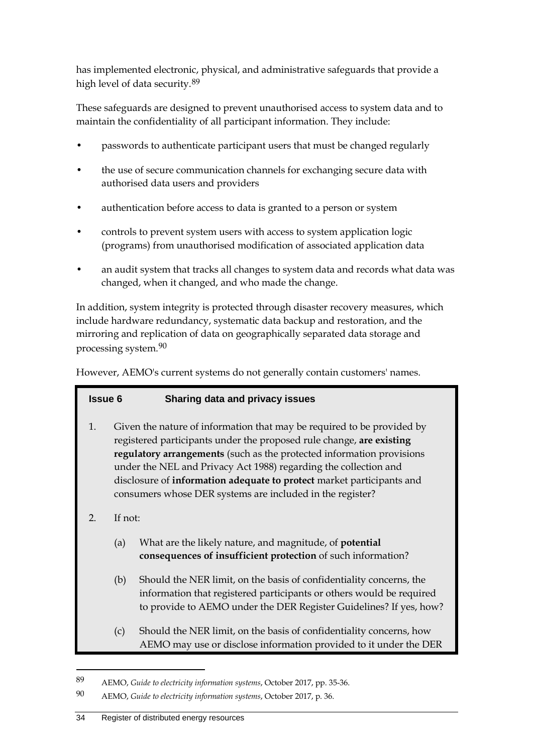has implemented electronic, physical, and administrative safeguards that provide a high level of data security.[89](#page-37-0)

These safeguards are designed to prevent unauthorised access to system data and to maintain the confidentiality of all participant information. They include:

- passwords to authenticate participant users that must be changed regularly
- the use of secure communication channels for exchanging secure data with authorised data users and providers
- authentication before access to data is granted to a person or system
- controls to prevent system users with access to system application logic (programs) from unauthorised modification of associated application data
- an audit system that tracks all changes to system data and records what data was changed, when it changed, and who made the change.

In addition, system integrity is protected through disaster recovery measures, which include hardware redundancy, systematic data backup and restoration, and the mirroring and replication of data on geographically separated data storage and processing system.[90](#page-37-1)

However, AEMO's current systems do not generally contain customers' names.

### **Issue 6 Sharing data and privacy issues**

- 1. Given the nature of information that may be required to be provided by registered participants under the proposed rule change, **are existing regulatory arrangements** (such as the protected information provisions under the NEL and Privacy Act 1988) regarding the collection and disclosure of **information adequate to protect** market participants and consumers whose DER systems are included in the register?
- 2. If not:

- (a) What are the likely nature, and magnitude, of **potential consequences of insufficient protection** of such information?
- (b) Should the NER limit, on the basis of confidentiality concerns, the information that registered participants or others would be required to provide to AEMO under the DER Register Guidelines? If yes, how?
- (c) Should the NER limit, on the basis of confidentiality concerns, how AEMO may use or disclose information provided to it under the DER

<span id="page-37-0"></span><sup>89</sup> AEMO, *Guide to electricity information systems*, October 2017, pp. 35-36.

<span id="page-37-1"></span><sup>90</sup> AEMO, *Guide to electricity information systems*, October 2017, p. 36.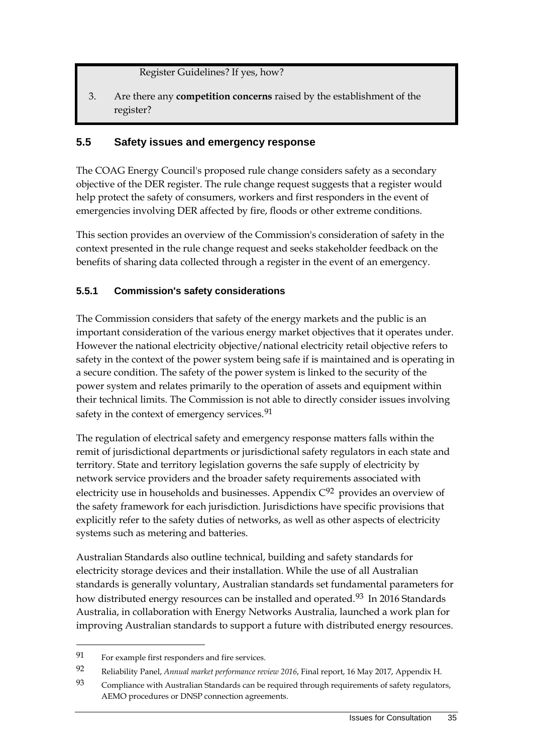Register Guidelines? If yes, how?

3. Are there any **competition concerns** raised by the establishment of the register?

#### <span id="page-38-0"></span>**5.5 Safety issues and emergency response**

The COAG Energy Council's proposed rule change considers safety as a secondary objective of the DER register. The rule change request suggests that a register would help protect the safety of consumers, workers and first responders in the event of emergencies involving DER affected by fire, floods or other extreme conditions.

This section provides an overview of the Commission's consideration of safety in the context presented in the rule change request and seeks stakeholder feedback on the benefits of sharing data collected through a register in the event of an emergency.

#### **5.5.1 Commission's safety considerations**

The Commission considers that safety of the energy markets and the public is an important consideration of the various energy market objectives that it operates under. However the national electricity objective/national electricity retail objective refers to safety in the context of the power system being safe if is maintained and is operating in a secure condition. The safety of the power system is linked to the security of the power system and relates primarily to the operation of assets and equipment within their technical limits. The Commission is not able to directly consider issues involving safety in the context of emergency services.<sup>[91](#page-38-1)</sup>

The regulation of electrical safety and emergency response matters falls within the remit of jurisdictional departments or jurisdictional safety regulators in each state and territory. State and territory legislation governs the safe supply of electricity by network service providers and the broader safety requirements associated with electricity use in households and businesses. Appendix  $C^{92}$  $C^{92}$  $C^{92}$  provides an overview of the safety framework for each jurisdiction. Jurisdictions have specific provisions that explicitly refer to the safety duties of networks, as well as other aspects of electricity systems such as metering and batteries.

Australian Standards also outline technical, building and safety standards for electricity storage devices and their installation. While the use of all Australian standards is generally voluntary, Australian standards set fundamental parameters for how distributed energy resources can be installed and operated.<sup>[93](#page-38-3)</sup> In 2016 Standards Australia, in collaboration with Energy Networks Australia, launched a work plan for improving Australian standards to support a future with distributed energy resources.

<span id="page-38-1"></span><sup>91</sup> For example first responders and fire services.

<span id="page-38-2"></span><sup>92</sup> Reliability Panel, *Annual market performance review 2016*, Final report, 16 May 2017, Appendix H.

<span id="page-38-3"></span><sup>93</sup> Compliance with Australian Standards can be required through requirements of safety regulators, AEMO procedures or DNSP connection agreements.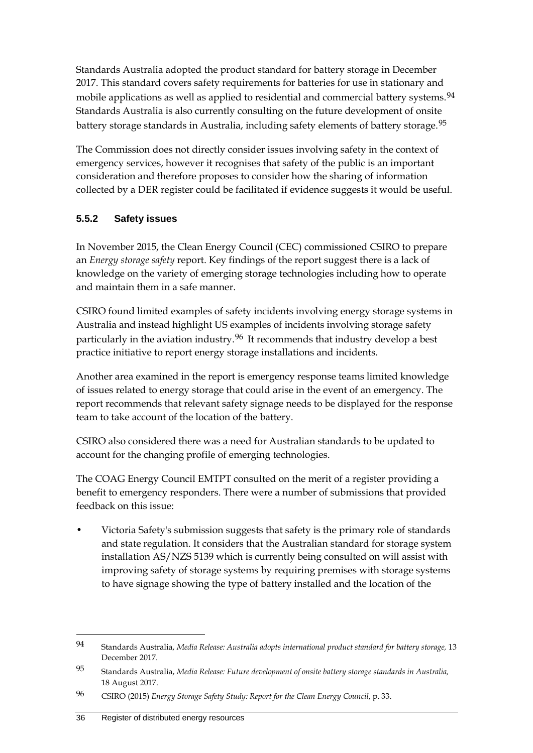Standards Australia adopted the product standard for battery storage in December 2017. This standard covers safety requirements for batteries for use in stationary and mobile applications as well as applied to residential and commercial battery systems.<sup>[94](#page-39-0)</sup> Standards Australia is also currently consulting on the future development of onsite battery storage standards in Australia, including safety elements of battery storage.<sup>[95](#page-39-1)</sup>

The Commission does not directly consider issues involving safety in the context of emergency services, however it recognises that safety of the public is an important consideration and therefore proposes to consider how the sharing of information collected by a DER register could be facilitated if evidence suggests it would be useful.

### **5.5.2 Safety issues**

In November 2015, the Clean Energy Council (CEC) commissioned CSIRO to prepare an *Energy storage safety* report. Key findings of the report suggest there is a lack of knowledge on the variety of emerging storage technologies including how to operate and maintain them in a safe manner.

CSIRO found limited examples of safety incidents involving energy storage systems in Australia and instead highlight US examples of incidents involving storage safety particularly in the aviation industry.<sup>[96](#page-39-2)</sup> It recommends that industry develop a best practice initiative to report energy storage installations and incidents.

Another area examined in the report is emergency response teams limited knowledge of issues related to energy storage that could arise in the event of an emergency. The report recommends that relevant safety signage needs to be displayed for the response team to take account of the location of the battery.

CSIRO also considered there was a need for Australian standards to be updated to account for the changing profile of emerging technologies.

The COAG Energy Council EMTPT consulted on the merit of a register providing a benefit to emergency responders. There were a number of submissions that provided feedback on this issue:

• Victoria Safety's submission suggests that safety is the primary role of standards and state regulation. It considers that the Australian standard for storage system installation AS/NZS 5139 which is currently being consulted on will assist with improving safety of storage systems by requiring premises with storage systems to have signage showing the type of battery installed and the location of the

<span id="page-39-0"></span><sup>94</sup> Standards Australia, *Media Release: Australia adopts international product standard for battery storage,* 13 December 2017.

<span id="page-39-1"></span><sup>95</sup> Standards Australia, *Media Release: Future development of onsite battery storage standards in Australia,* 18 August 2017.

<span id="page-39-2"></span><sup>96</sup> CSIRO (2015) *Energy Storage Safety Study: Report for the Clean Energy Council*, p. 33.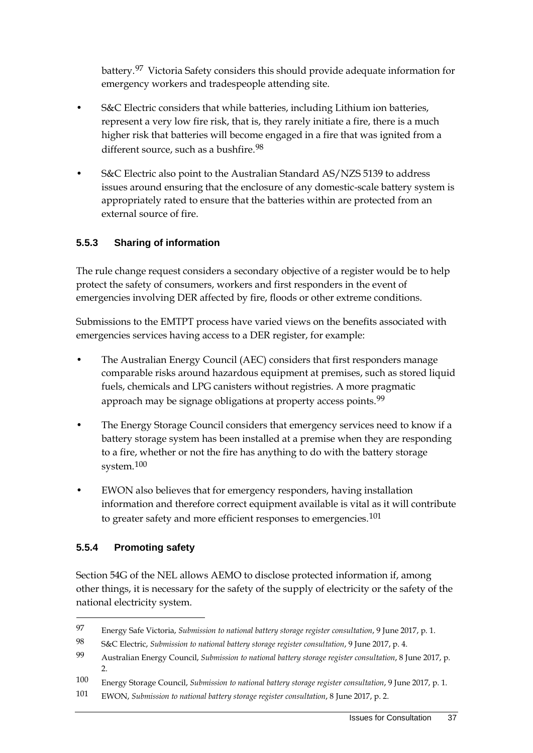battery.[97](#page-40-0) Victoria Safety considers this should provide adequate information for emergency workers and tradespeople attending site.

- S&C Electric considers that while batteries, including Lithium ion batteries, represent a very low fire risk, that is, they rarely initiate a fire, there is a much higher risk that batteries will become engaged in a fire that was ignited from a different source, such as a bushfire.<sup>[98](#page-40-1)</sup>
- S&C Electric also point to the Australian Standard AS/NZS 5139 to address issues around ensuring that the enclosure of any domestic-scale battery system is appropriately rated to ensure that the batteries within are protected from an external source of fire.

### **5.5.3 Sharing of information**

The rule change request considers a secondary objective of a register would be to help protect the safety of consumers, workers and first responders in the event of emergencies involving DER affected by fire, floods or other extreme conditions.

Submissions to the EMTPT process have varied views on the benefits associated with emergencies services having access to a DER register, for example:

- The Australian Energy Council (AEC) considers that first responders manage comparable risks around hazardous equipment at premises, such as stored liquid fuels, chemicals and LPG canisters without registries. A more pragmatic approach may be signage obligations at property access points.<sup>[99](#page-40-2)</sup>
- The Energy Storage Council considers that emergency services need to know if a battery storage system has been installed at a premise when they are responding to a fire, whether or not the fire has anything to do with the battery storage system.[100](#page-40-3)
- EWON also believes that for emergency responders, having installation information and therefore correct equipment available is vital as it will contribute to greater safety and more efficient responses to emergencies.<sup>[101](#page-40-4)</sup>

### **5.5.4 Promoting safety**

-

Section 54G of the NEL allows AEMO to disclose protected information if, among other things, it is necessary for the safety of the supply of electricity or the safety of the national electricity system.

<span id="page-40-0"></span><sup>97</sup> Energy Safe Victoria, *Submission to national battery storage register consultation*, 9 June 2017, p. 1.

<span id="page-40-1"></span><sup>98</sup> S&C Electric, *Submission to national battery storage register consultation*, 9 June 2017, p. 4.

<span id="page-40-2"></span><sup>99</sup> Australian Energy Council, *Submission to national battery storage register consultation*, 8 June 2017, p. 2.

<span id="page-40-3"></span><sup>100</sup> Energy Storage Council, *Submission to national battery storage register consultation*, 9 June 2017, p. 1.

<span id="page-40-4"></span><sup>101</sup> EWON, *Submission to national battery storage register consultation*, 8 June 2017, p. 2.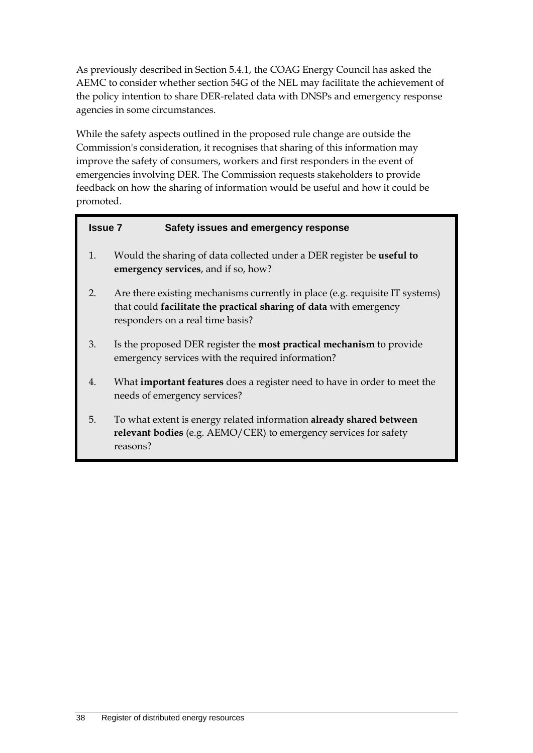As previously described in Section 5.4.1, the COAG Energy Council has asked the AEMC to consider whether section 54G of the NEL may facilitate the achievement of the policy intention to share DER-related data with DNSPs and emergency response agencies in some circumstances.

While the safety aspects outlined in the proposed rule change are outside the Commission's consideration, it recognises that sharing of this information may improve the safety of consumers, workers and first responders in the event of emergencies involving DER. The Commission requests stakeholders to provide feedback on how the sharing of information would be useful and how it could be promoted.

| <b>Issue 7</b> | Safety issues and emergency response                                                                                                                                                   |  |
|----------------|----------------------------------------------------------------------------------------------------------------------------------------------------------------------------------------|--|
| 1.             | Would the sharing of data collected under a DER register be useful to<br>emergency services, and if so, how?                                                                           |  |
| 2.             | Are there existing mechanisms currently in place (e.g. requisite IT systems)<br>that could facilitate the practical sharing of data with emergency<br>responders on a real time basis? |  |
| 3.             | Is the proposed DER register the most practical mechanism to provide<br>emergency services with the required information?                                                              |  |
| 4.             | What important features does a register need to have in order to meet the<br>needs of emergency services?                                                                              |  |
| 5.             | To what extent is energy related information already shared between<br>relevant bodies (e.g. AEMO/CER) to emergency services for safety<br>reasons?                                    |  |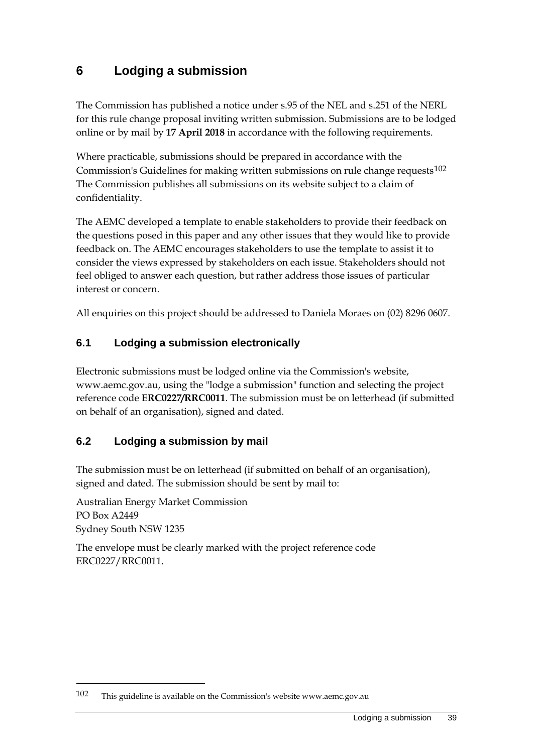# <span id="page-42-0"></span>**6 Lodging a submission**

The Commission has published a notice under s.95 of the NEL and s.251 of the NERL for this rule change proposal inviting written submission. Submissions are to be lodged online or by mail by **17 April 2018** in accordance with the following requirements.

Where practicable, submissions should be prepared in accordance with the Commission's Guidelines for making written submissions on rule change requests $102$ The Commission publishes all submissions on its website subject to a claim of confidentiality.

The AEMC developed a template to enable stakeholders to provide their feedback on the questions posed in this paper and any other issues that they would like to provide feedback on. The AEMC encourages stakeholders to use the template to assist it to consider the views expressed by stakeholders on each issue. Stakeholders should not feel obliged to answer each question, but rather address those issues of particular interest or concern.

All enquiries on this project should be addressed to Daniela Moraes on (02) 8296 0607.

### <span id="page-42-1"></span>**6.1 Lodging a submission electronically**

Electronic submissions must be lodged online via the Commission's website, www.aemc.gov.au, using the "lodge a submission" function and selecting the project reference code **ERC0227/RRC0011**. The submission must be on letterhead (if submitted on behalf of an organisation), signed and dated.

### <span id="page-42-2"></span>**6.2 Lodging a submission by mail**

The submission must be on letterhead (if submitted on behalf of an organisation), signed and dated. The submission should be sent by mail to:

Australian Energy Market Commission PO Box A2449 Sydney South NSW 1235

-

The envelope must be clearly marked with the project reference code ERC0227/RRC0011.

<span id="page-42-3"></span><sup>102</sup> This guideline is available on the Commission's website www.aemc.gov.au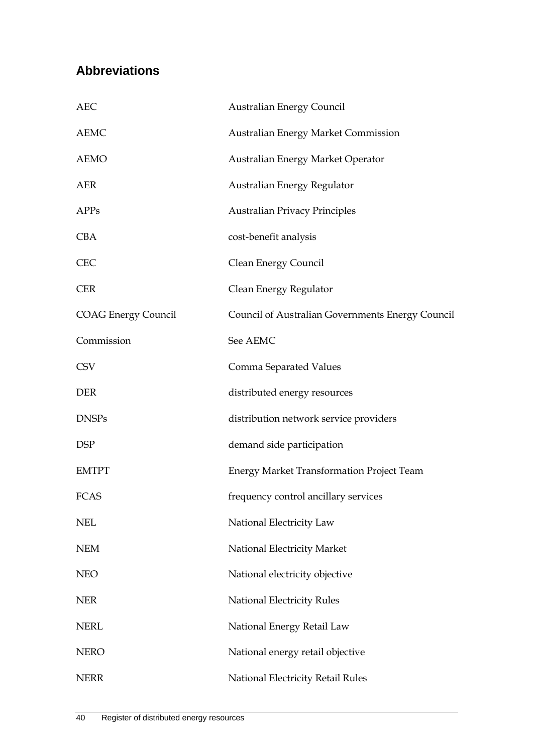# <span id="page-43-0"></span>**Abbreviations**

| <b>AEC</b>                 | <b>Australian Energy Council</b>                 |
|----------------------------|--------------------------------------------------|
| <b>AEMC</b>                | <b>Australian Energy Market Commission</b>       |
| <b>AEMO</b>                | Australian Energy Market Operator                |
| AER                        | Australian Energy Regulator                      |
| <b>APPs</b>                | <b>Australian Privacy Principles</b>             |
| <b>CBA</b>                 | cost-benefit analysis                            |
| <b>CEC</b>                 | Clean Energy Council                             |
| <b>CER</b>                 | Clean Energy Regulator                           |
| <b>COAG Energy Council</b> | Council of Australian Governments Energy Council |
| Commission                 | See AEMC                                         |
| <b>CSV</b>                 | Comma Separated Values                           |
| <b>DER</b>                 | distributed energy resources                     |
| <b>DNSPs</b>               | distribution network service providers           |
| <b>DSP</b>                 | demand side participation                        |
| <b>EMTPT</b>               | <b>Energy Market Transformation Project Team</b> |
| FCAS                       | frequency control ancillary services             |
| <b>NEL</b>                 | National Electricity Law                         |
| <b>NEM</b>                 | National Electricity Market                      |
| <b>NEO</b>                 | National electricity objective                   |
| <b>NER</b>                 | <b>National Electricity Rules</b>                |
| <b>NERL</b>                | National Energy Retail Law                       |
| <b>NERO</b>                | National energy retail objective                 |
| <b>NERR</b>                | National Electricity Retail Rules                |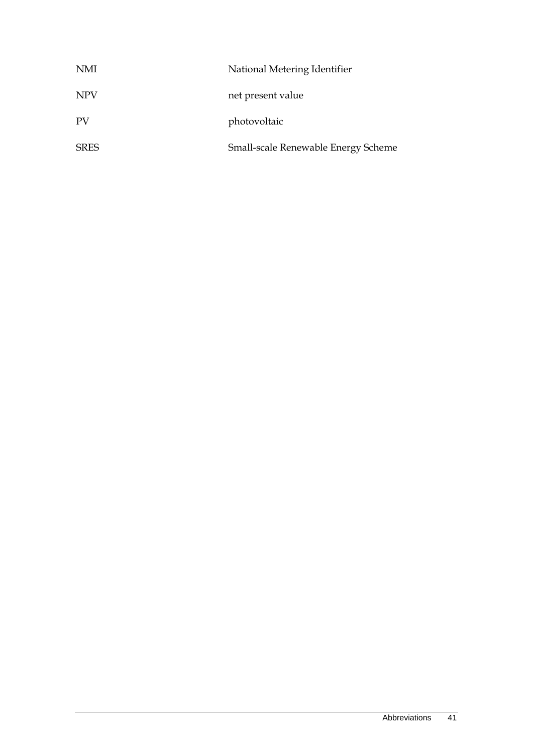| NMI         | National Metering Identifier        |
|-------------|-------------------------------------|
| <b>NPV</b>  | net present value                   |
| PV          | photovoltaic                        |
| <b>SRES</b> | Small-scale Renewable Energy Scheme |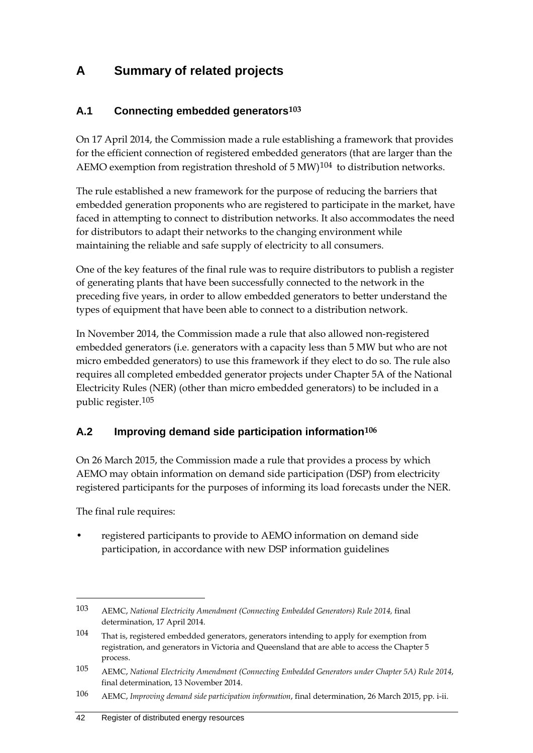# <span id="page-45-0"></span>**A Summary of related projects**

## <span id="page-45-1"></span>**A.1 Connecting embedded generators[103](#page-45-3)**

On 17 April 2014, the Commission made a rule establishing a framework that provides for the efficient connection of registered embedded generators (that are larger than the AEMO exemption from registration threshold of  $5 \text{ MW}$ <sup>[104](#page-45-4)</sup> to distribution networks.

The rule established a new framework for the purpose of reducing the barriers that embedded generation proponents who are registered to participate in the market, have faced in attempting to connect to distribution networks. It also accommodates the need for distributors to adapt their networks to the changing environment while maintaining the reliable and safe supply of electricity to all consumers.

One of the key features of the final rule was to require distributors to publish a register of generating plants that have been successfully connected to the network in the preceding five years, in order to allow embedded generators to better understand the types of equipment that have been able to connect to a distribution network.

In November 2014, the Commission made a rule that also allowed non-registered embedded generators (i.e. generators with a capacity less than 5 MW but who are not micro embedded generators) to use this framework if they elect to do so. The rule also requires all completed embedded generator projects under Chapter 5A of the National Electricity Rules (NER) (other than micro embedded generators) to be included in a public register.[105](#page-45-5)

## <span id="page-45-2"></span>**A.2 Improving demand side participation information[106](#page-45-6)**

On 26 March 2015, the Commission made a rule that provides a process by which AEMO may obtain information on demand side participation (DSP) from electricity registered participants for the purposes of informing its load forecasts under the NER.

The final rule requires:

-

• registered participants to provide to AEMO information on demand side participation, in accordance with new DSP information guidelines

<span id="page-45-3"></span><sup>103</sup> AEMC, *National Electricity Amendment (Connecting Embedded Generators) Rule 2014,* final determination, 17 April 2014.

<span id="page-45-4"></span><sup>104</sup> That is, registered embedded generators, generators intending to apply for exemption from registration, and generators in Victoria and Queensland that are able to access the Chapter 5 process.

<span id="page-45-5"></span><sup>105</sup> AEMC, *National Electricity Amendment (Connecting Embedded Generators under Chapter 5A) Rule 2014*, final determination, 13 November 2014.

<span id="page-45-6"></span><sup>106</sup> AEMC, *Improving demand side participation information*, final determination, 26 March 2015, pp. i-ii.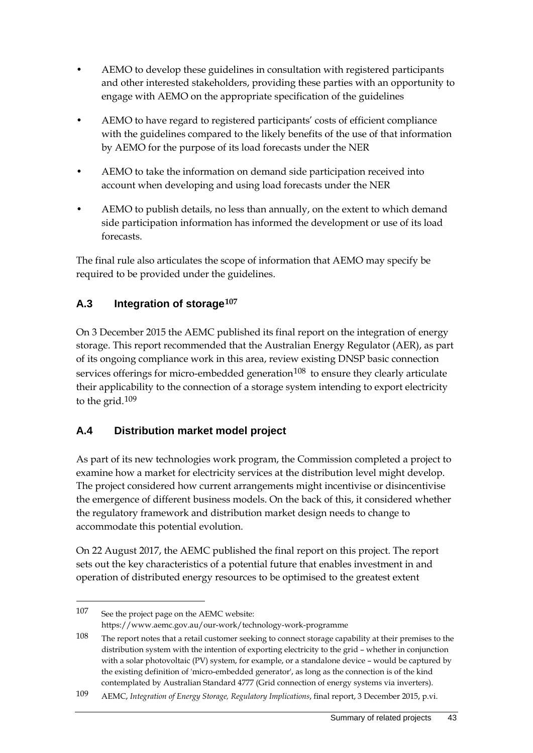- AEMO to develop these guidelines in consultation with registered participants and other interested stakeholders, providing these parties with an opportunity to engage with AEMO on the appropriate specification of the guidelines
- AEMO to have regard to registered participants' costs of efficient compliance with the guidelines compared to the likely benefits of the use of that information by AEMO for the purpose of its load forecasts under the NER
- AEMO to take the information on demand side participation received into account when developing and using load forecasts under the NER
- AEMO to publish details, no less than annually, on the extent to which demand side participation information has informed the development or use of its load forecasts.

The final rule also articulates the scope of information that AEMO may specify be required to be provided under the guidelines.

## <span id="page-46-0"></span>**A.3 Integration of storage[107](#page-46-2)**

On 3 December 2015 the AEMC published its final report on the integration of energy storage. This report recommended that the Australian Energy Regulator (AER), as part of its ongoing compliance work in this area, review existing DNSP basic connection services offerings for micro-embedded generation $108$  to ensure they clearly articulate their applicability to the connection of a storage system intending to export electricity to the grid. $109$ 

## <span id="page-46-1"></span>**A.4 Distribution market model project**

As part of its new technologies work program, the Commission completed a project to examine how a market for electricity services at the distribution level might develop. The project considered how current arrangements might incentivise or disincentivise the emergence of different business models. On the back of this, it considered whether the regulatory framework and distribution market design needs to change to accommodate this potential evolution.

On 22 August 2017, the AEMC published the final report on this project. The report sets out the key characteristics of a potential future that enables investment in and operation of distributed energy resources to be optimised to the greatest extent

<span id="page-46-2"></span><sup>107</sup> See the project page on the AEMC website: https://www.aemc.gov.au/our-work/technology-work-programme

<span id="page-46-3"></span><sup>108</sup> The report notes that a retail customer seeking to connect storage capability at their premises to the distribution system with the intention of exporting electricity to the grid – whether in conjunction with a solar photovoltaic (PV) system, for example, or a standalone device – would be captured by the existing definition of 'micro-embedded generator', as long as the connection is of the kind contemplated by Australian Standard 4777 (Grid connection of energy systems via inverters).

<span id="page-46-4"></span><sup>109</sup> AEMC, *Integration of Energy Storage, Regulatory Implications*, final report, 3 December 2015, p.vi.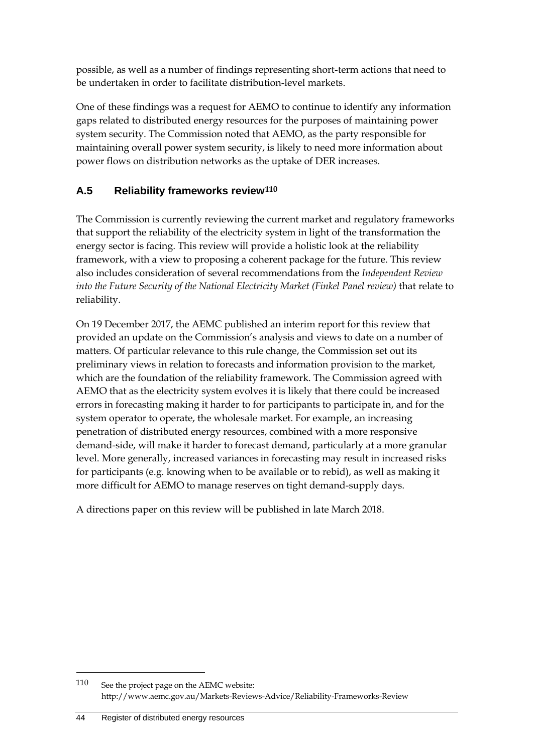possible, as well as a number of findings representing short-term actions that need to be undertaken in order to facilitate distribution-level markets.

One of these findings was a request for AEMO to continue to identify any information gaps related to distributed energy resources for the purposes of maintaining power system security. The Commission noted that AEMO, as the party responsible for maintaining overall power system security, is likely to need more information about power flows on distribution networks as the uptake of DER increases.

## <span id="page-47-0"></span>**A.5 Reliability frameworks review[110](#page-47-1)**

The Commission is currently reviewing the current market and regulatory frameworks that support the reliability of the electricity system in light of the transformation the energy sector is facing. This review will provide a holistic look at the reliability framework, with a view to proposing a coherent package for the future. This review also includes consideration of several recommendations from the *Independent Review into the Future Security of the National Electricity Market (Finkel Panel review)* that relate to reliability.

On 19 December 2017, the AEMC published an interim report for this review that provided an update on the Commission's analysis and views to date on a number of matters. Of particular relevance to this rule change, the Commission set out its preliminary views in relation to forecasts and information provision to the market, which are the foundation of the reliability framework. The Commission agreed with AEMO that as the electricity system evolves it is likely that there could be increased errors in forecasting making it harder to for participants to participate in, and for the system operator to operate, the wholesale market. For example, an increasing penetration of distributed energy resources, combined with a more responsive demand-side, will make it harder to forecast demand, particularly at a more granular level. More generally, increased variances in forecasting may result in increased risks for participants (e.g. knowing when to be available or to rebid), as well as making it more difficult for AEMO to manage reserves on tight demand-supply days.

A directions paper on this review will be published in late March 2018.

<span id="page-47-1"></span><sup>110</sup> See the project page on the AEMC website: http://www.aemc.gov.au/Markets-Reviews-Advice/Reliability-Frameworks-Review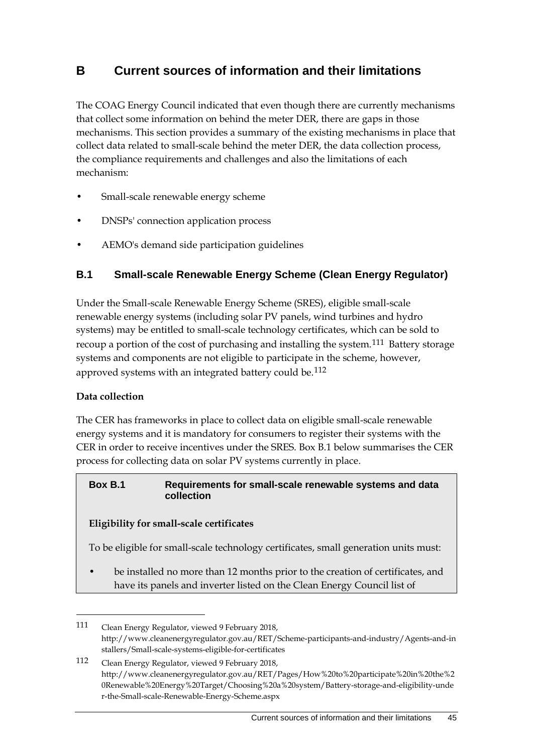# <span id="page-48-2"></span><span id="page-48-0"></span>**B Current sources of information and their limitations**

The COAG Energy Council indicated that even though there are currently mechanisms that collect some information on behind the meter DER, there are gaps in those mechanisms. This section provides a summary of the existing mechanisms in place that collect data related to small-scale behind the meter DER, the data collection process, the compliance requirements and challenges and also the limitations of each mechanism:

- Small-scale renewable energy scheme
- DNSPs' connection application process
- AEMO's demand side participation guidelines

### <span id="page-48-1"></span>**B.1 Small-scale Renewable Energy Scheme (Clean Energy Regulator)**

Under the Small-scale Renewable Energy Scheme (SRES), eligible small-scale renewable energy systems (including solar PV panels, wind turbines and hydro systems) may be entitled to small-scale technology certificates, which can be sold to recoup a portion of the cost of purchasing and installing the system.<sup>[111](#page-48-3)</sup> Battery storage systems and components are not eligible to participate in the scheme, however, approved systems with an integrated battery could be.<sup>[112](#page-48-4)</sup>

#### **Data collection**

-

The CER has frameworks in place to collect data on eligible small-scale renewable energy systems and it is mandatory for consumers to register their systems with the CER in order to receive incentives under the SRES. Box B.1 below summarises the CER process for collecting data on solar PV systems currently in place.

#### **Box B.1 Requirements for small-scale renewable systems and data collection**

#### **Eligibility for small-scale certificates**

To be eligible for small-scale technology certificates, small generation units must:

be installed no more than 12 months prior to the creation of certificates, and have its panels and inverter listed on the Clean Energy Council list of

<span id="page-48-3"></span><sup>111</sup> Clean Energy Regulator, viewed 9 February 2018, http://www.cleanenergyregulator.gov.au/RET/Scheme-participants-and-industry/Agents-and-in stallers/Small-scale-systems-eligible-for-certificates

<span id="page-48-4"></span><sup>112</sup> Clean Energy Regulator, viewed 9 February 2018, http://www.cleanenergyregulator.gov.au/RET/Pages/How%20to%20participate%20in%20the%2 0Renewable%20Energy%20Target/Choosing%20a%20system/Battery-storage-and-eligibility-unde r-the-Small-scale-Renewable-Energy-Scheme.aspx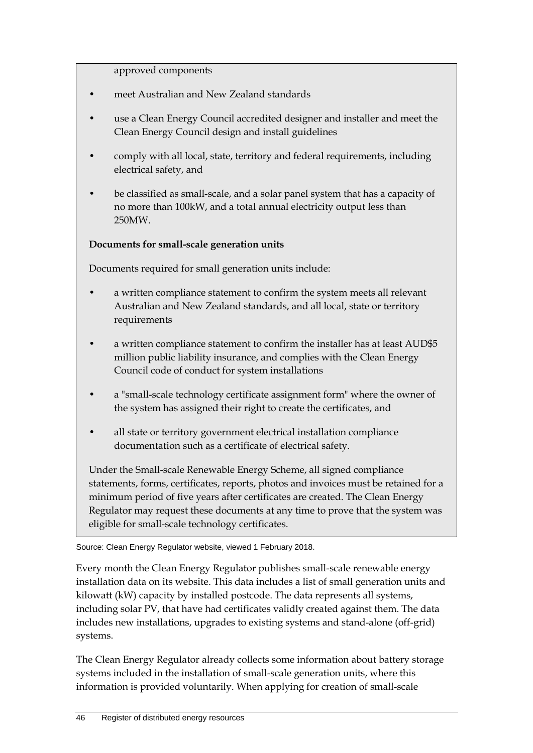approved components

- meet Australian and New Zealand standards
- use a Clean Energy Council accredited designer and installer and meet the Clean Energy Council design and install guidelines
- comply with all local, state, territory and federal requirements, including electrical safety, and
- be classified as small-scale, and a solar panel system that has a capacity of no more than 100kW, and a total annual electricity output less than 250MW.

### **Documents for small-scale generation units**

Documents required for small generation units include:

- a written compliance statement to confirm the system meets all relevant Australian and New Zealand standards, and all local, state or territory requirements
- a written compliance statement to confirm the installer has at least AUD\$5 million public liability insurance, and complies with the Clean Energy Council code of conduct for system installations
- a "small-scale technology certificate assignment form" where the owner of the system has assigned their right to create the certificates, and
- all state or territory government electrical installation compliance documentation such as a certificate of electrical safety.

Under the Small-scale Renewable Energy Scheme, all signed compliance statements, forms, certificates, reports, photos and invoices must be retained for a minimum period of five years after certificates are created. The Clean Energy Regulator may request these documents at any time to prove that the system was eligible for small-scale technology certificates.

Source: Clean Energy Regulator website, viewed 1 February 2018.

Every month the Clean Energy Regulator publishes small-scale renewable energy installation data on its website. This data includes a list of small generation units and kilowatt (kW) capacity by installed postcode. The data represents all systems, including solar PV, that have had certificates validly created against them. The data includes new installations, upgrades to existing systems and stand-alone (off-grid) systems.

The Clean Energy Regulator already collects some information about battery storage systems included in the installation of small-scale generation units, where this information is provided voluntarily. When applying for creation of small-scale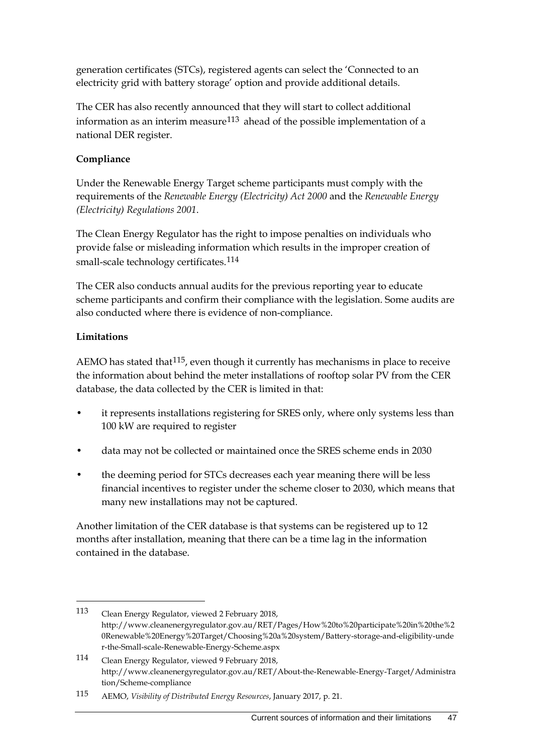generation certificates (STCs), registered agents can select the 'Connected to an electricity grid with battery storage' option and provide additional details.

The CER has also recently announced that they will start to collect additional information as an interim measure $113$  ahead of the possible implementation of a national DER register.

### **Compliance**

Under the Renewable Energy Target scheme participants must comply with the requirements of the *Renewable Energy (Electricity) Act 2000* and the *Renewable Energy (Electricity) Regulations 2001*.

The Clean Energy Regulator has the right to impose penalties on individuals who provide false or misleading information which results in the improper creation of small-scale technology certificates.<sup>[114](#page-50-1)</sup>

The CER also conducts annual audits for the previous reporting year to educate scheme participants and confirm their compliance with the legislation. Some audits are also conducted where there is evidence of non-compliance.

#### **Limitations**

-

AEMO has stated that  $115$ , even though it currently has mechanisms in place to receive the information about behind the meter installations of rooftop solar PV from the CER database, the data collected by the CER is limited in that:

- it represents installations registering for SRES only, where only systems less than 100 kW are required to register
- data may not be collected or maintained once the SRES scheme ends in 2030
- the deeming period for STCs decreases each year meaning there will be less financial incentives to register under the scheme closer to 2030, which means that many new installations may not be captured.

Another limitation of the CER database is that systems can be registered up to 12 months after installation, meaning that there can be a time lag in the information contained in the database.

<span id="page-50-0"></span><sup>113</sup> Clean Energy Regulator, viewed 2 February 2018, http://www.cleanenergyregulator.gov.au/RET/Pages/How%20to%20participate%20in%20the%2 0Renewable%20Energy%20Target/Choosing%20a%20system/Battery-storage-and-eligibility-unde r-the-Small-scale-Renewable-Energy-Scheme.aspx

<span id="page-50-1"></span><sup>114</sup> Clean Energy Regulator, viewed 9 February 2018, http://www.cleanenergyregulator.gov.au/RET/About-the-Renewable-Energy-Target/Administra tion/Scheme-compliance

<span id="page-50-2"></span><sup>115</sup> AEMO, *Visibility of Distributed Energy Resources*, January 2017, p. 21.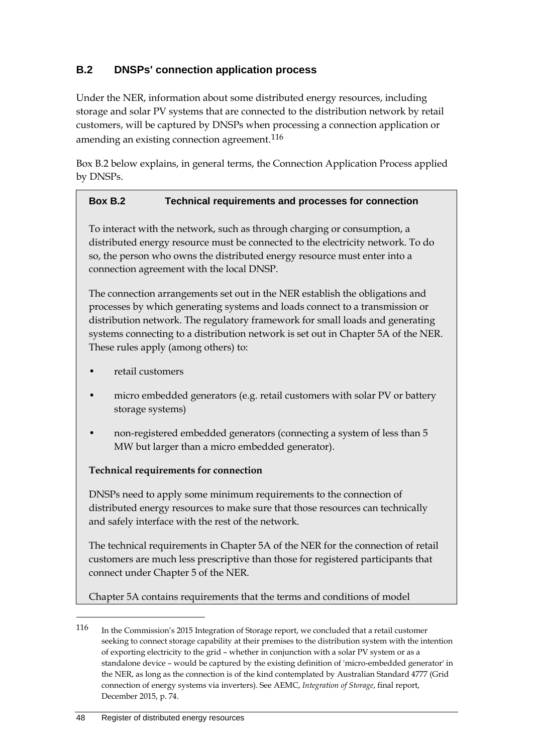## <span id="page-51-0"></span>**B.2 DNSPs' connection application process**

Under the NER, information about some distributed energy resources, including storage and solar PV systems that are connected to the distribution network by retail customers, will be captured by DNSPs when processing a connection application or amending an existing connection agreement.<sup>[116](#page-51-1)</sup>

Box B.2 below explains, in general terms, the Connection Application Process applied by DNSPs.

### **Box B.2 Technical requirements and processes for connection**

To interact with the network, such as through charging or consumption, a distributed energy resource must be connected to the electricity network. To do so, the person who owns the distributed energy resource must enter into a connection agreement with the local DNSP.

The connection arrangements set out in the NER establish the obligations and processes by which generating systems and loads connect to a transmission or distribution network. The regulatory framework for small loads and generating systems connecting to a distribution network is set out in Chapter 5A of the NER. These rules apply (among others) to:

- retail customers
- micro embedded generators (e.g. retail customers with solar PV or battery storage systems)
- non-registered embedded generators (connecting a system of less than 5 MW but larger than a micro embedded generator).

#### **Technical requirements for connection**

DNSPs need to apply some minimum requirements to the connection of distributed energy resources to make sure that those resources can technically and safely interface with the rest of the network.

The technical requirements in Chapter 5A of the NER for the connection of retail customers are much less prescriptive than those for registered participants that connect under Chapter 5 of the NER.

Chapter 5A contains requirements that the terms and conditions of model

<span id="page-51-1"></span><sup>116</sup> In the Commission's 2015 Integration of Storage report, we concluded that a retail customer seeking to connect storage capability at their premises to the distribution system with the intention of exporting electricity to the grid – whether in conjunction with a solar PV system or as a standalone device – would be captured by the existing definition of 'micro-embedded generator' in the NER, as long as the connection is of the kind contemplated by Australian Standard 4777 (Grid connection of energy systems via inverters). See AEMC, *Integration of Storage*, final report, December 2015, p. 74.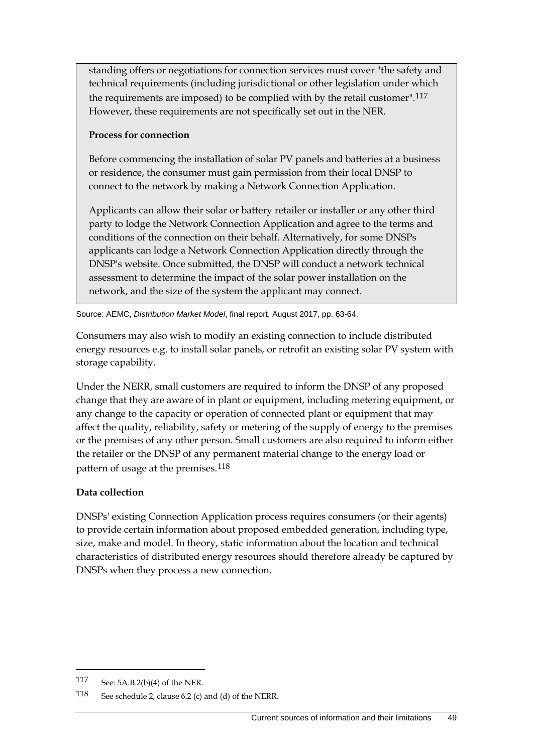standing offers or negotiations for connection services must cover "the safety and technical requirements (including jurisdictional or other legislation under which the requirements are imposed) to be complied with by the retail customer".[117](#page-52-0) However, these requirements are not specifically set out in the NER.

### **Process for connection**

Before commencing the installation of solar PV panels and batteries at a business or residence, the consumer must gain permission from their local DNSP to connect to the network by making a Network Connection Application.

Applicants can allow their solar or battery retailer or installer or any other third party to lodge the Network Connection Application and agree to the terms and conditions of the connection on their behalf. Alternatively, for some DNSPs applicants can lodge a Network Connection Application directly through the DNSP's website. Once submitted, the DNSP will conduct a network technical assessment to determine the impact of the solar power installation on the network, and the size of the system the applicant may connect.

Source: AEMC, *Distribution Market Model*, final report, August 2017, pp. 63-64.

Consumers may also wish to modify an existing connection to include distributed energy resources e.g. to install solar panels, or retrofit an existing solar PV system with storage capability.

Under the NERR, small customers are required to inform the DNSP of any proposed change that they are aware of in plant or equipment, including metering equipment, or any change to the capacity or operation of connected plant or equipment that may affect the quality, reliability, safety or metering of the supply of energy to the premises or the premises of any other person. Small customers are also required to inform either the retailer or the DNSP of any permanent material change to the energy load or pattern of usage at the premises.<sup>[118](#page-52-1)</sup>

### **Data collection**

DNSPs' existing Connection Application process requires consumers (or their agents) to provide certain information about proposed embedded generation, including type, size, make and model. In theory, static information about the location and technical characteristics of distributed energy resources should therefore already be captured by DNSPs when they process a new connection.

<span id="page-52-0"></span><sup>117</sup> See: 5A.B.2(b)(4) of the NER.

<span id="page-52-1"></span><sup>118</sup> See schedule 2, clause 6.2 (c) and (d) of the NERR.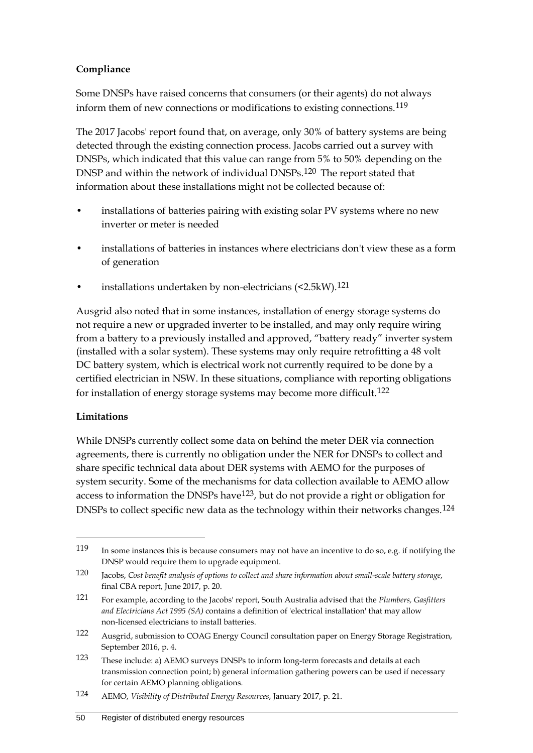### **Compliance**

Some DNSPs have raised concerns that consumers (or their agents) do not always inform them of new connections or modifications to existing connections.<sup>[119](#page-53-0)</sup>

The 2017 Jacobs' report found that, on average, only 30% of battery systems are being detected through the existing connection process. Jacobs carried out a survey with DNSPs, which indicated that this value can range from 5% to 50% depending on the DNSP and within the network of individual DNSPs.[120](#page-53-1) The report stated that information about these installations might not be collected because of:

- installations of batteries pairing with existing solar PV systems where no new inverter or meter is needed
- installations of batteries in instances where electricians don't view these as a form of generation
- installations undertaken by non-electricians (<2.5kW).<sup>[121](#page-53-2)</sup>

Ausgrid also noted that in some instances, installation of energy storage systems do not require a new or upgraded inverter to be installed, and may only require wiring from a battery to a previously installed and approved, "battery ready" inverter system (installed with a solar system). These systems may only require retrofitting a 48 volt DC battery system, which is electrical work not currently required to be done by a certified electrician in NSW. In these situations, compliance with reporting obligations for installation of energy storage systems may become more difficult.[122](#page-53-3)

### **Limitations**

-

While DNSPs currently collect some data on behind the meter DER via connection agreements, there is currently no obligation under the NER for DNSPs to collect and share specific technical data about DER systems with AEMO for the purposes of system security. Some of the mechanisms for data collection available to AEMO allow access to information the DNSPs have  $123$ , but do not provide a right or obligation for DNSPs to collect specific new data as the technology within their networks changes.<sup>[124](#page-53-5)</sup>

<span id="page-53-0"></span><sup>119</sup> In some instances this is because consumers may not have an incentive to do so, e.g. if notifying the DNSP would require them to upgrade equipment.

<span id="page-53-1"></span><sup>120</sup> Jacobs, *Cost benefit analysis of options to collect and share information about small-scale battery storage*, final CBA report, June 2017, p. 20.

<span id="page-53-2"></span><sup>121</sup> For example, according to the Jacobs' report, South Australia advised that the *Plumbers, Gasfitters and Electricians Act 1995 (SA)* contains a definition of 'electrical installation' that may allow non-licensed electricians to install batteries.

<span id="page-53-3"></span><sup>122</sup> Ausgrid, submission to COAG Energy Council consultation paper on Energy Storage Registration, September 2016, p. 4.

<span id="page-53-4"></span><sup>123</sup> These include: a) AEMO surveys DNSPs to inform long-term forecasts and details at each transmission connection point; b) general information gathering powers can be used if necessary for certain AEMO planning obligations.

<span id="page-53-5"></span><sup>124</sup> AEMO, *Visibility of Distributed Energy Resources*, January 2017, p. 21.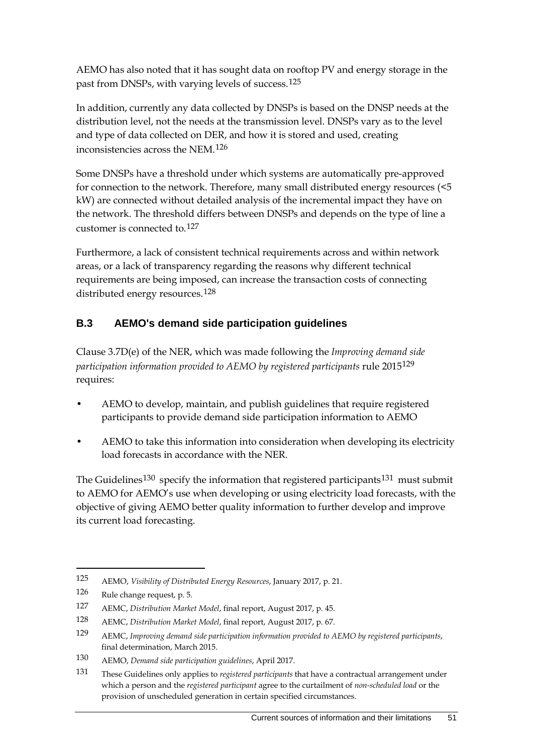AEMO has also noted that it has sought data on rooftop PV and energy storage in the past from DNSPs, with varying levels of success.[125](#page-54-1)

In addition, currently any data collected by DNSPs is based on the DNSP needs at the distribution level, not the needs at the transmission level. DNSPs vary as to the level and type of data collected on DER, and how it is stored and used, creating inconsistencies across the NEM.[126](#page-54-2)

Some DNSPs have a threshold under which systems are automatically pre-approved for connection to the network. Therefore, many small distributed energy resources (<5 kW) are connected without detailed analysis of the incremental impact they have on the network. The threshold differs between DNSPs and depends on the type of line a customer is connected to.[127](#page-54-3)

Furthermore, a lack of consistent technical requirements across and within network areas, or a lack of transparency regarding the reasons why different technical requirements are being imposed, can increase the transaction costs of connecting distributed energy resources.[128](#page-54-4)

## <span id="page-54-0"></span>**B.3 AEMO's demand side participation guidelines**

Clause 3.7D(e) of the NER, which was made following the *Improving demand side participation information provided to AEMO by registered participants* rule 2015[129](#page-54-5) requires:

- AEMO to develop, maintain, and publish guidelines that require registered participants to provide demand side participation information to AEMO
- AEMO to take this information into consideration when developing its electricity load forecasts in accordance with the NER.

The Guidelines<sup>[130](#page-54-6)</sup> specify the information that registered participants<sup>[131](#page-54-7)</sup> must submit to AEMO for AEMO's use when developing or using electricity load forecasts, with the objective of giving AEMO better quality information to further develop and improve its current load forecasting.

<span id="page-54-1"></span><sup>125</sup> AEMO, *Visibility of Distributed Energy Resources*, January 2017, p. 21.

<span id="page-54-2"></span><sup>126</sup> Rule change request, p. 5.

<span id="page-54-3"></span><sup>127</sup> AEMC, *Distribution Market Model*, final report, August 2017, p. 45.

<span id="page-54-4"></span><sup>128</sup> AEMC, *Distribution Market Model*, final report, August 2017, p. 67.

<span id="page-54-5"></span><sup>129</sup> AEMC, *Improving demand side participation information provided to AEMO by registered participants*, final determination, March 2015.

<span id="page-54-6"></span><sup>130</sup> AEMO, *Demand side participation guidelines*, April 2017.

<span id="page-54-7"></span><sup>131</sup> These Guidelines only applies to *registered participants* that have a contractual arrangement under which a person and the *registered participant* agree to the curtailment of *non-scheduled load* or the provision of unscheduled generation in certain specified circumstances.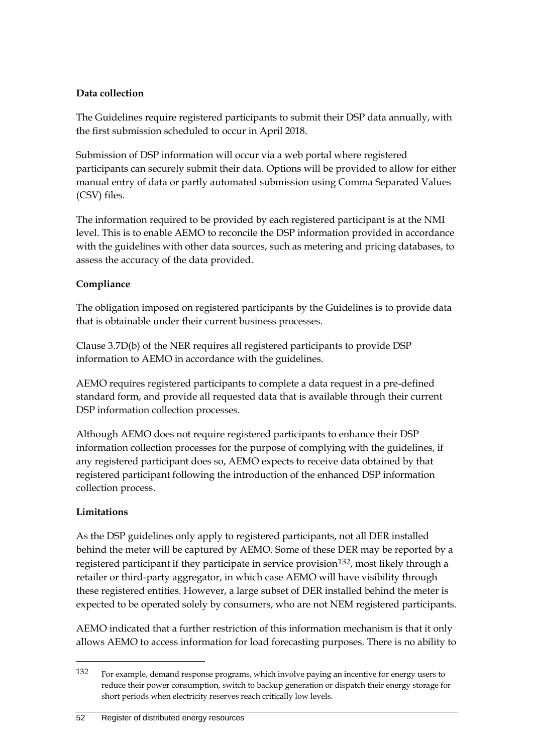### **Data collection**

The Guidelines require registered participants to submit their DSP data annually, with the first submission scheduled to occur in April 2018.

Submission of DSP information will occur via a web portal where registered participants can securely submit their data. Options will be provided to allow for either manual entry of data or partly automated submission using Comma Separated Values (CSV) files.

The information required to be provided by each registered participant is at the NMI level. This is to enable AEMO to reconcile the DSP information provided in accordance with the guidelines with other data sources, such as metering and pricing databases, to assess the accuracy of the data provided.

### **Compliance**

The obligation imposed on registered participants by the Guidelines is to provide data that is obtainable under their current business processes.

Clause 3.7D(b) of the NER requires all registered participants to provide DSP information to AEMO in accordance with the guidelines.

AEMO requires registered participants to complete a data request in a pre-defined standard form, and provide all requested data that is available through their current DSP information collection processes.

Although AEMO does not require registered participants to enhance their DSP information collection processes for the purpose of complying with the guidelines, if any registered participant does so, AEMO expects to receive data obtained by that registered participant following the introduction of the enhanced DSP information collection process.

### **Limitations**

-

As the DSP guidelines only apply to registered participants, not all DER installed behind the meter will be captured by AEMO. Some of these DER may be reported by a registered participant if they participate in service provision<sup>[132](#page-55-0)</sup>, most likely through a retailer or third-party aggregator, in which case AEMO will have visibility through these registered entities. However, a large subset of DER installed behind the meter is expected to be operated solely by consumers, who are not NEM registered participants.

AEMO indicated that a further restriction of this information mechanism is that it only allows AEMO to access information for load forecasting purposes. There is no ability to

<span id="page-55-0"></span><sup>132</sup> For example, demand response programs, which involve paying an incentive for energy users to reduce their power consumption, switch to backup generation or dispatch their energy storage for short periods when electricity reserves reach critically low levels.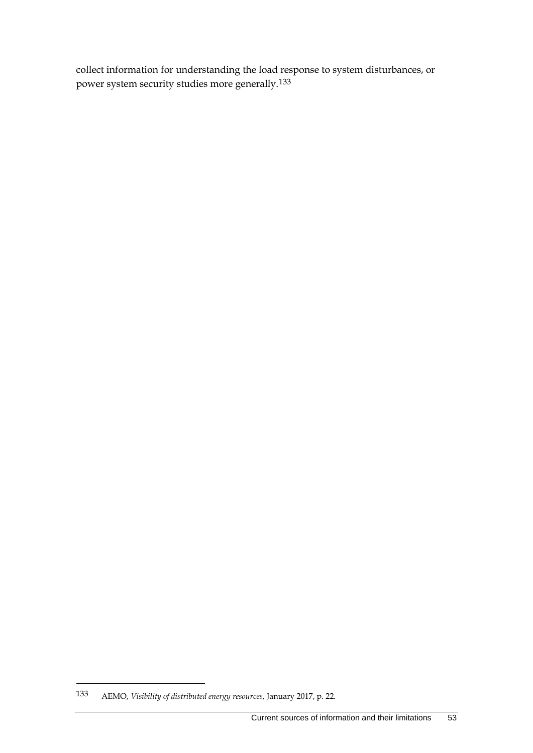collect information for understanding the load response to system disturbances, or power system security studies more generally.[133](#page-56-0)

<span id="page-56-0"></span><sup>133</sup> AEMO, *Visibility of distributed energy resources*, January 2017, p. 22.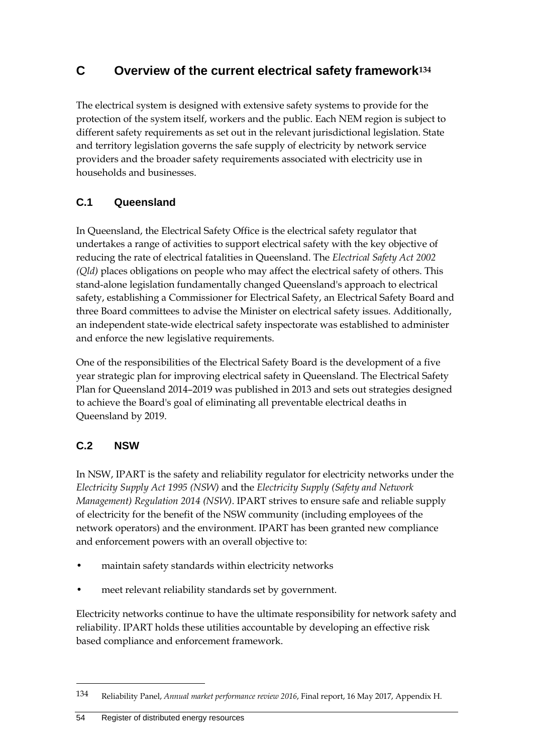# <span id="page-57-0"></span>**C Overview of the current electrical safety framework[134](#page-57-3)**

The electrical system is designed with extensive safety systems to provide for the protection of the system itself, workers and the public. Each NEM region is subject to different safety requirements as set out in the relevant jurisdictional legislation. State and territory legislation governs the safe supply of electricity by network service providers and the broader safety requirements associated with electricity use in households and businesses.

## <span id="page-57-1"></span>**C.1 Queensland**

In Queensland, the Electrical Safety Office is the electrical safety regulator that undertakes a range of activities to support electrical safety with the key objective of reducing the rate of electrical fatalities in Queensland. The *Electrical Safety Act 2002 (Qld)* places obligations on people who may affect the electrical safety of others. This stand-alone legislation fundamentally changed Queensland's approach to electrical safety, establishing a Commissioner for Electrical Safety, an Electrical Safety Board and three Board committees to advise the Minister on electrical safety issues. Additionally, an independent state-wide electrical safety inspectorate was established to administer and enforce the new legislative requirements.

One of the responsibilities of the Electrical Safety Board is the development of a five year strategic plan for improving electrical safety in Queensland. The Electrical Safety Plan for Queensland 2014–2019 was published in 2013 and sets out strategies designed to achieve the Board's goal of eliminating all preventable electrical deaths in Queensland by 2019.

## <span id="page-57-2"></span>**C.2 NSW**

-

In NSW, IPART is the safety and reliability regulator for electricity networks under the *Electricity Supply Act 1995 (NSW)* and the *Electricity Supply (Safety and Network Management) Regulation 2014 (NSW)*. IPART strives to ensure safe and reliable supply of electricity for the benefit of the NSW community (including employees of the network operators) and the environment. IPART has been granted new compliance and enforcement powers with an overall objective to:

- maintain safety standards within electricity networks
- meet relevant reliability standards set by government.

Electricity networks continue to have the ultimate responsibility for network safety and reliability. IPART holds these utilities accountable by developing an effective risk based compliance and enforcement framework.

<span id="page-57-3"></span><sup>134</sup> Reliability Panel, *Annual market performance review 2016*, Final report, 16 May 2017, Appendix H.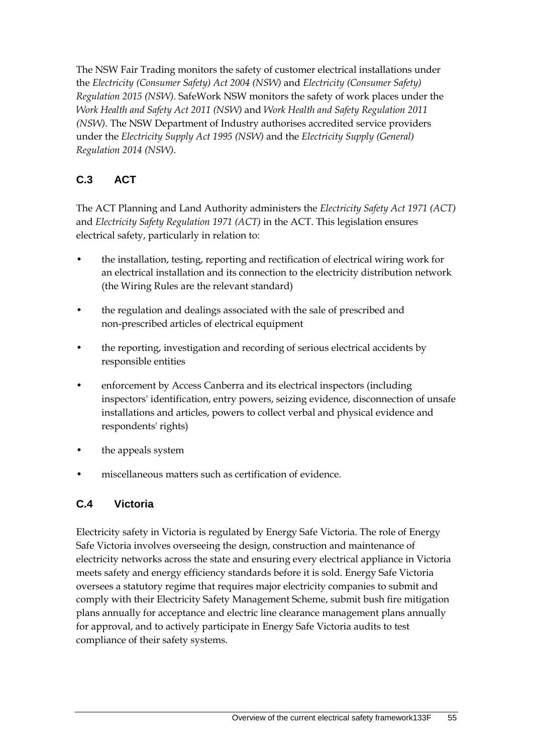The NSW Fair Trading monitors the safety of customer electrical installations under the *Electricity (Consumer Safety) Act 2004 (NSW)* and *Electricity (Consumer Safety) Regulation 2015 (NSW)*. SafeWork NSW monitors the safety of work places under the *Work Health and Safety Act 2011 (NSW)* and *Work Health and Safety Regulation 2011 (NSW)*. The NSW Department of Industry authorises accredited service providers under the *Electricity Supply Act 1995 (NSW)* and the *Electricity Supply (General) Regulation 2014 (NSW)*.

# <span id="page-58-0"></span>**C.3 ACT**

The ACT Planning and Land Authority administers the *Electricity Safety Act 1971 (ACT)* and *Electricity Safety Regulation 1971 (ACT)* in the ACT. This legislation ensures electrical safety, particularly in relation to:

- the installation, testing, reporting and rectification of electrical wiring work for an electrical installation and its connection to the electricity distribution network (the Wiring Rules are the relevant standard)
- the regulation and dealings associated with the sale of prescribed and non-prescribed articles of electrical equipment
- the reporting, investigation and recording of serious electrical accidents by responsible entities
- enforcement by Access Canberra and its electrical inspectors (including inspectors' identification, entry powers, seizing evidence, disconnection of unsafe installations and articles, powers to collect verbal and physical evidence and respondents' rights)
- the appeals system
- miscellaneous matters such as certification of evidence.

## <span id="page-58-1"></span>**C.4 Victoria**

Electricity safety in Victoria is regulated by Energy Safe Victoria. The role of Energy Safe Victoria involves overseeing the design, construction and maintenance of electricity networks across the state and ensuring every electrical appliance in Victoria meets safety and energy efficiency standards before it is sold. Energy Safe Victoria oversees a statutory regime that requires major electricity companies to submit and comply with their Electricity Safety Management Scheme, submit bush fire mitigation plans annually for acceptance and electric line clearance management plans annually for approval, and to actively participate in Energy Safe Victoria audits to test compliance of their safety systems.